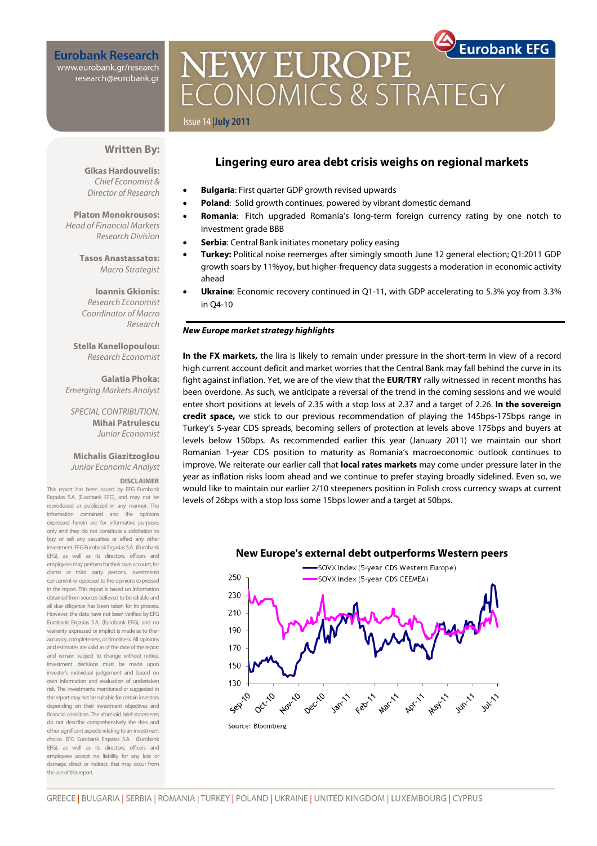**Eurobank Research** www.eurobank.gr/research research@eurobank.gr

# **Eurobank EFG NEW EUROPE** CONOMICS & STRAT

## Issue 14 |**July 2011**

## **Written By:**

**Gikas Hardouvelis:**  Chief Economist & Director of Research

**Platon Monokrousos:**  Head of Financial Markets Research Division

> **Tasos Anastassatos:**  Macro Strategist

**Ioannis Gkionis:**  Research Economist Coordinator of Macro Research

**Stella Kanellopoulou:**  Research Economist

**Galatia Phoka:**  Emerging Markets Analyst

SPECIAL CONTRIBUTION: **Mihai Patrulescu**  Junior Economist

## **Michalis Giazitzoglou**  Junior Economic Analyst

#### **DISCLAIMER**

This report has been issued by EFG Eurobank Ergasias S.A. (Eurobank EFG), and may not be reproduced or publicized in any manner. The information contained and the opinions expressed herein are for informative purposes only and they do not constitute a solicitation to buy or sell any securities or effect any other investment. EFG Eurobank Ergasias S.A. (Eurobank EFG), as well as its directors, officers and employees may perform for their own account, for clients or third party persons, investments concurrent or opposed to the opinions expressed in the report. This report is based on information obtained from sources believed to be reliable and all due diligence has been taken for its process. However, the data have not been verified by EFG Eurobank Ergasias S.A. (Eurobank EFG), and no warranty expressed or implicit is made as to their accuracy, completeness, or timeliness. All opinions and estimates are valid as of the date of the report and remain subject to change without notice. Investment decisions must be made upon investor's individual judgement and based on own information and evaluation of undertaken risk. The investments mentioned or suggested in the report may not be suitable for certain investors depending on their investment objectives and financial condition. The aforesaid brief statements do not describe comprehensively the risks and other significant aspects relating to an investment choice. EFG Eurobank Ergasias S.A. (Eurobank EFG), as well as its directors, officers and employees accept no liability for any loss or damage, direct or indirect, that may occur from the use of this report.

## **Lingering euro area debt crisis weighs on regional markets**

- **Bulgaria**: First quarter GDP growth revised upwards
- **Poland**: Solid growth continues, powered by vibrant domestic demand
- **Romania**: Fitch upgraded Romania's long-term foreign currency rating by one notch to investment grade BBB
- **Serbia**: Central Bank initiates monetary policy easing
- **Turkey:** Political noise reemerges after simingly smooth June 12 general election; Q1:2011 GDP growth soars by 11%yoy, but higher-frequency data suggests a moderation in economic activity ahead
- **Ukraine**: Economic recovery continued in Q1-11, with GDP accelerating to 5.3% yoy from 3.3% in Q4-10

#### **New Europe market strategy highlights**

**In the FX markets,** the lira is likely to remain under pressure in the short-term in view of a record high current account deficit and market worries that the Central Bank may fall behind the curve in its fight against inflation. Yet, we are of the view that the **EUR/TRY** rally witnessed in recent months has been overdone. As such, we anticipate a reversal of the trend in the coming sessions and we would enter short positions at levels of 2.35 with a stop loss at 2.37 and a target of 2.26. **In the sovereign credit space,** we stick to our previous recommendation of playing the 145bps-175bps range in Turkey's 5-year CDS spreads, becoming sellers of protection at levels above 175bps and buyers at levels below 150bps. As recommended earlier this year (January 2011) we maintain our short Romanian 1-year CDS position to maturity as Romania's macroeconomic outlook continues to improve. We reiterate our earlier call that **local rates markets** may come under pressure later in the year as inflation risks loom ahead and we continue to prefer staying broadly sidelined. Even so, we would like to maintain our earlier 2/10 steepeners position in Polish cross currency swaps at current levels of 26bps with a stop loss some 15bps lower and a target at 50bps.



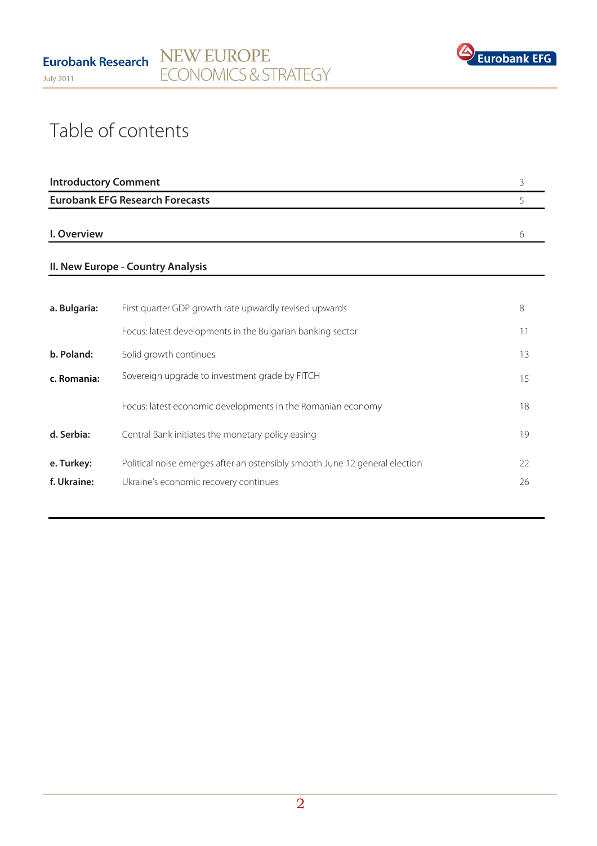

# Table of contents

| <b>Introductory Comment</b>            |  |
|----------------------------------------|--|
| <b>Eurobank EFG Research Forecasts</b> |  |
|                                        |  |
| I. Overview                            |  |

## **II. New Europe - Country Analysis**

| First quarter GDP growth rate upwardly revised upwards                                                               | 8        |
|----------------------------------------------------------------------------------------------------------------------|----------|
| Focus: latest developments in the Bulgarian banking sector                                                           | 11       |
| Solid growth continues                                                                                               | 13       |
| Sovereign upgrade to investment grade by FITCH                                                                       | 15       |
| Focus: latest economic developments in the Romanian economy                                                          | 18       |
| Central Bank initiates the monetary policy easing                                                                    | 19       |
| Political noise emerges after an ostensibly smooth June 12 general election<br>Ukraine's economic recovery continues | 22<br>26 |
|                                                                                                                      |          |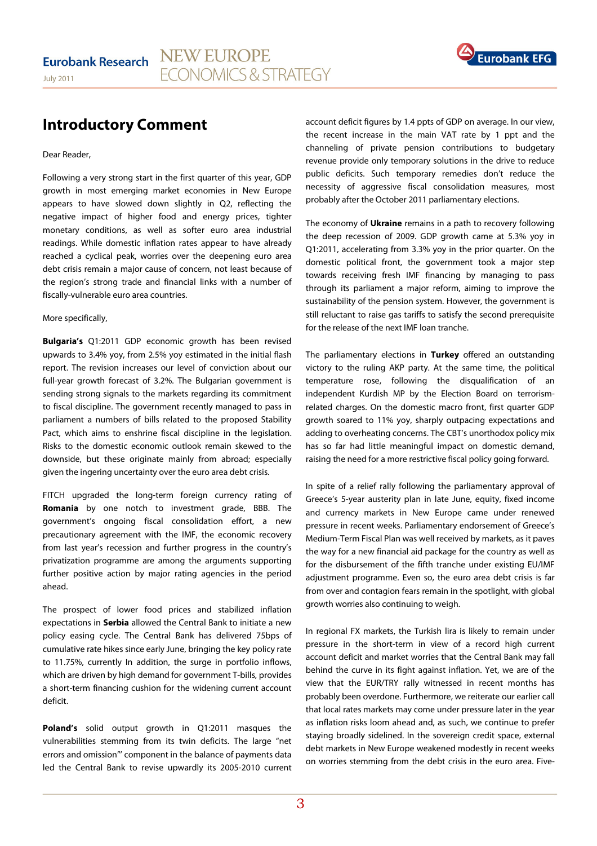

## **Introductory Comment**

Dear Reader,

Following a very strong start in the first quarter of this year, GDP growth in most emerging market economies in New Europe appears to have slowed down slightly in Q2, reflecting the negative impact of higher food and energy prices, tighter monetary conditions, as well as softer euro area industrial readings. While domestic inflation rates appear to have already reached a cyclical peak, worries over the deepening euro area debt crisis remain a major cause of concern, not least because of the region's strong trade and financial links with a number of fiscally-vulnerable euro area countries.

#### More specifically,

**Bulgaria's** Q1:2011 GDP economic growth has been revised upwards to 3.4% yoy, from 2.5% yoy estimated in the initial flash report. The revision increases our level of conviction about our full-year growth forecast of 3.2%. The Bulgarian government is sending strong signals to the markets regarding its commitment to fiscal discipline. The government recently managed to pass in parliament a numbers of bills related to the proposed Stability Pact, which aims to enshrine fiscal discipline in the legislation. Risks to the domestic economic outlook remain skewed to the downside, but these originate mainly from abroad; especially given the ingering uncertainty over the euro area debt crisis.

FITCH upgraded the long-term foreign currency rating of **Romania** by one notch to investment grade, BBB. The government's ongoing fiscal consolidation effort, a new precautionary agreement with the IMF, the economic recovery from last year's recession and further progress in the country's privatization programme are among the arguments supporting further positive action by major rating agencies in the period ahead.

The prospect of lower food prices and stabilized inflation expectations in **Serbia** allowed the Central Bank to initiate a new policy easing cycle. The Central Bank has delivered 75bps of cumulative rate hikes since early June, bringing the key policy rate to 11.75%, currently In addition, the surge in portfolio inflows, which are driven by high demand for government T-bills, provides a short-term financing cushion for the widening current account deficit.

**Poland's** solid output growth in Q1:2011 masques the vulnerabilities stemming from its twin deficits. The large "net errors and omission"' component in the balance of payments data led the Central Bank to revise upwardly its 2005-2010 current account deficit figures by 1.4 ppts of GDP on average. In our view, the recent increase in the main VAT rate by 1 ppt and the channeling of private pension contributions to budgetary revenue provide only temporary solutions in the drive to reduce public deficits. Such temporary remedies don't reduce the necessity of aggressive fiscal consolidation measures, most probably after the October 2011 parliamentary elections.

The economy of **Ukraine** remains in a path to recovery following the deep recession of 2009. GDP growth came at 5.3% yoy in Q1:2011, accelerating from 3.3% yoy in the prior quarter. On the domestic political front, the government took a major step towards receiving fresh IMF financing by managing to pass through its parliament a major reform, aiming to improve the sustainability of the pension system. However, the government is still reluctant to raise gas tariffs to satisfy the second prerequisite for the release of the next IMF loan tranche.

The parliamentary elections in **Turkey** offered an outstanding victory to the ruling AKP party. At the same time, the political temperature rose, following the disqualification of an independent Kurdish MP by the Election Board on terrorismrelated charges. On the domestic macro front, first quarter GDP growth soared to 11% yoy, sharply outpacing expectations and adding to overheating concerns. The CBT's unorthodox policy mix has so far had little meaningful impact on domestic demand, raising the need for a more restrictive fiscal policy going forward.

In spite of a relief rally following the parliamentary approval of Greece's 5-year austerity plan in late June, equity, fixed income and currency markets in New Europe came under renewed pressure in recent weeks. Parliamentary endorsement of Greece's Medium-Term Fiscal Plan was well received by markets, as it paves the way for a new financial aid package for the country as well as for the disbursement of the fifth tranche under existing EU/IMF adjustment programme. Even so, the euro area debt crisis is far from over and contagion fears remain in the spotlight, with global growth worries also continuing to weigh.

In regional FX markets, the Turkish lira is likely to remain under pressure in the short-term in view of a record high current account deficit and market worries that the Central Bank may fall behind the curve in its fight against inflation. Yet, we are of the view that the EUR/TRY rally witnessed in recent months has probably been overdone. Furthermore, we reiterate our earlier call that local rates markets may come under pressure later in the year as inflation risks loom ahead and, as such, we continue to prefer staying broadly sidelined. In the sovereign credit space, external debt markets in New Europe weakened modestly in recent weeks on worries stemming from the debt crisis in the euro area. Five-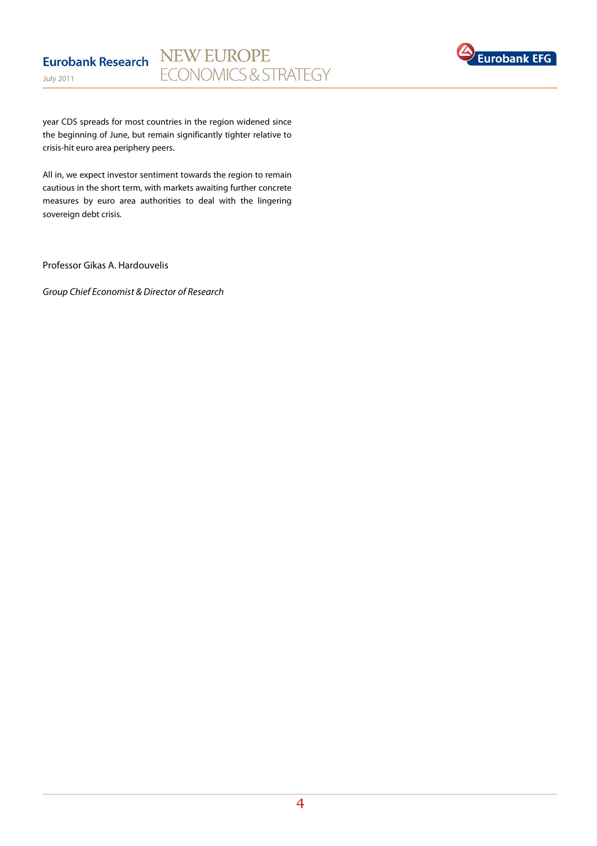

year CDS spreads for most countries in the region widened since the beginning of June, but remain significantly tighter relative to crisis-hit euro area periphery peers.

All in, we expect investor sentiment towards the region to remain cautious in the short term, with markets awaiting further concrete measures by euro area authorities to deal with the lingering sovereign debt crisis.

Professor Gikas A. Hardouvelis

Group Chief Economist & Director of Research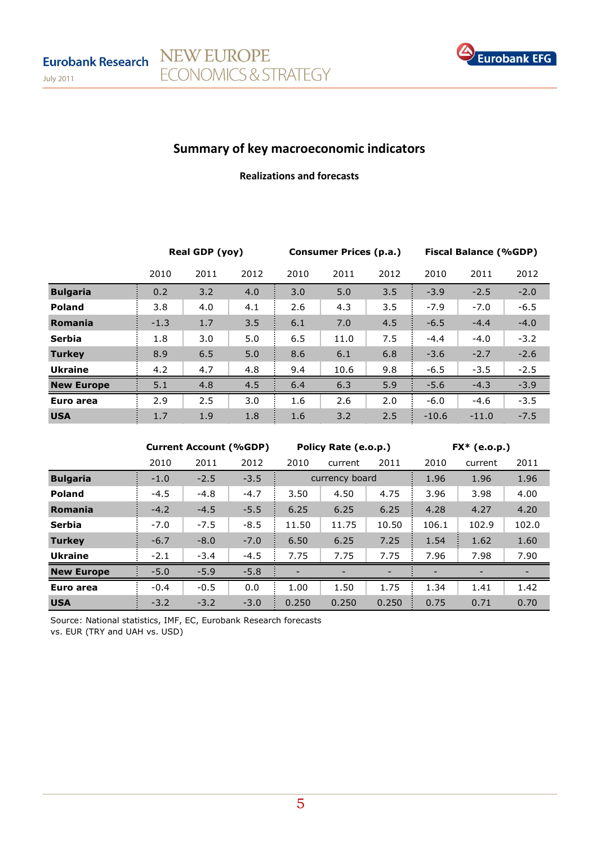

# Summary of key macroeconomic indicators

NEW EUROPE

ECONOMICS & STRATEGY

## Realizations and forecasts

|                   | Real GDP (yoy) |      |      | Consumer Prices (p.a.) |      |      | <b>Fiscal Balance (%GDP)</b> |         |        |
|-------------------|----------------|------|------|------------------------|------|------|------------------------------|---------|--------|
|                   | 2010           | 2011 | 2012 | 2010                   | 2011 | 2012 | 2010                         | 2011    | 2012   |
| <b>Bulgaria</b>   | 0.2            | 3.2  | 4.0  | 3.0                    | 5.0  | 3.5  | $-3.9$                       | $-2.5$  | $-2.0$ |
| <b>Poland</b>     | 3.8            | 4.0  | 4.1  | 2.6                    | 4.3  | 3.5  | $-7.9$                       | $-7.0$  | $-6.5$ |
| Romania           | $-1.3$         | 1.7  | 3.5  | 6.1                    | 7.0  | 4.5  | $-6.5$                       | $-4.4$  | $-4.0$ |
| <b>Serbia</b>     | 1.8            | 3.0  | 5.0  | 6.5                    | 11.0 | 7.5  | $-4.4$                       | $-4.0$  | $-3.2$ |
| <b>Turkey</b>     | 8.9            | 6.5  | 5.0  | 8.6                    | 6.1  | 6.8  | $-3.6$                       | $-2.7$  | $-2.6$ |
| <b>Ukraine</b>    | 4.2            | 4.7  | 4.8  | 9.4                    | 10.6 | 9.8  | $-6.5$                       | $-3.5$  | $-2.5$ |
| <b>New Europe</b> | 5.1            | 4.8  | 4.5  | 6.4                    | 6.3  | 5.9  | $-5.6$                       | $-4.3$  | $-3.9$ |
| Euro area         | 2.9            | 2.5  | 3.0  | 1.6                    | 2.6  | 2.0  | $-6.0$                       | $-4.6$  | $-3.5$ |
| <b>USA</b>        | 1.7            | 1.9  | 1.8  | 1.6                    | 3.2  | 2.5  | $-10.6$                      | $-11.0$ | $-7.5$ |

|                   |        | <b>Current Account (%GDP)</b> |        |       | Policy Rate (e.o.p.) |       |       | $FX*$ (e.o.p.) |       |
|-------------------|--------|-------------------------------|--------|-------|----------------------|-------|-------|----------------|-------|
|                   | 2010   | 2011                          | 2012   | 2010  | current              | 2011  | 2010  | current        | 2011  |
| <b>Bulgaria</b>   | $-1.0$ | $-2.5$                        | $-3.5$ |       | currency board       |       | 1.96  | 1.96           | 1.96  |
| <b>Poland</b>     | $-4.5$ | $-4.8$                        | $-4.7$ | 3.50  | 4.50                 | 4.75  | 3.96  | 3.98           | 4.00  |
| Romania           | $-4.2$ | $-4.5$                        | $-5.5$ | 6.25  | 6.25                 | 6.25  | 4.28  | 4.27           | 4.20  |
| <b>Serbia</b>     | $-7.0$ | $-7.5$                        | $-8.5$ | 11.50 | 11.75                | 10.50 | 106.1 | 102.9          | 102.0 |
| <b>Turkey</b>     | $-6.7$ | $-8.0$                        | $-7.0$ | 6.50  | 6.25                 | 7.25  | 1.54  | 1.62           | 1.60  |
| <b>Ukraine</b>    | $-2.1$ | $-3.4$                        | $-4.5$ | 7.75  | 7.75                 | 7.75  | 7.96  | 7.98           | 7.90  |
| <b>New Europe</b> | $-5.0$ | $-5.9$                        | $-5.8$ |       |                      |       |       | -              |       |
| Euro area         | $-0.4$ | $-0.5$                        | 0.0    | 1.00  | 1.50                 | 1.75  | 1.34  | 1.41           | 1.42  |
| <b>USA</b>        | $-3.2$ | $-3.2$                        | $-3.0$ | 0.250 | 0.250                | 0.250 | 0.75  | 0.71           | 0.70  |

Source: National statistics, IMF, EC, Eurobank Research forecasts vs. EUR (TRY and UAH vs. USD)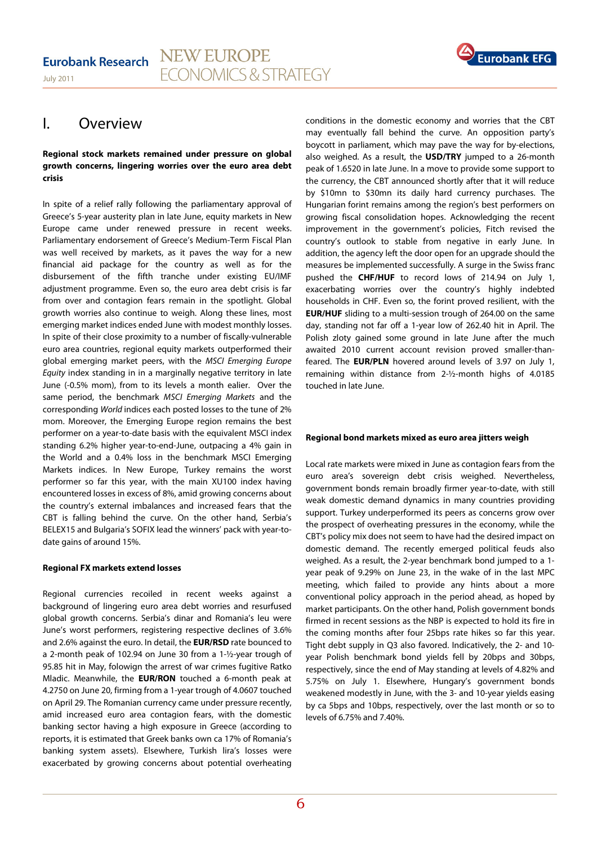

## I. Overview

#### **Regional stock markets remained under pressure on global growth concerns, lingering worries over the euro area debt crisis**

In spite of a relief rally following the parliamentary approval of Greece's 5-year austerity plan in late June, equity markets in New Europe came under renewed pressure in recent weeks. Parliamentary endorsement of Greece's Medium-Term Fiscal Plan was well received by markets, as it paves the way for a new financial aid package for the country as well as for the disbursement of the fifth tranche under existing EU/IMF adjustment programme. Even so, the euro area debt crisis is far from over and contagion fears remain in the spotlight. Global growth worries also continue to weigh. Along these lines, most emerging market indices ended June with modest monthly losses. In spite of their close proximity to a number of fiscally-vulnerable euro area countries, regional equity markets outperformed their global emerging market peers, with the MSCI Emerging Europe Equity index standing in in a marginally negative territory in late June (-0.5% mom), from to its levels a month ealier. Over the same period, the benchmark MSCI Emerging Markets and the corresponding World indices each posted losses to the tune of 2% mom. Moreover, the Emerging Europe region remains the best performer on a year-to-date basis with the equivalent MSCI index standing 6.2% higher year-to-end-June, outpacing a 4% gain in the World and a 0.4% loss in the benchmark MSCI Emerging Markets indices. In New Europe, Turkey remains the worst performer so far this year, with the main XU100 index having encountered losses in excess of 8%, amid growing concerns about the country's external imbalances and increased fears that the CBT is falling behind the curve. On the other hand, Serbia's BELEX15 and Bulgaria's SOFIX lead the winners' pack with year-todate gains of around 15%.

#### **Regional FX markets extend losses**

Regional currencies recoiled in recent weeks against a background of lingering euro area debt worries and resurfused global growth concerns. Serbia's dinar and Romania's leu were June's worst performers, registering respective declines of 3.6% and 2.6% against the euro. In detail, the **EUR/RSD** rate bounced to a 2-month peak of 102.94 on June 30 from a 1-½-year trough of 95.85 hit in May, folowign the arrest of war crimes fugitive Ratko Mladic. Meanwhile, the **EUR/RON** touched a 6-month peak at 4.2750 on June 20, firming from a 1-year trough of 4.0607 touched on April 29. The Romanian currency came under pressure recently, amid increased euro area contagion fears, with the domestic banking sector having a high exposure in Greece (according to reports, it is estimated that Greek banks own ca 17% of Romania's banking system assets). Elsewhere, Turkish lira's losses were exacerbated by growing concerns about potential overheating

conditions in the domestic economy and worries that the CBT may eventually fall behind the curve. An opposition party's boycott in parliament, which may pave the way for by-elections, also weighed. As a result, the **USD/TRY** jumped to a 26-month peak of 1.6520 in late June. In a move to provide some support to the currency, the CBT announced shortly after that it will reduce by \$10mn to \$30mn its daily hard currency purchases. The Hungarian forint remains among the region's best performers on growing fiscal consolidation hopes. Acknowledging the recent improvement in the government's policies, Fitch revised the country's outlook to stable from negative in early June. In addition, the agency left the door open for an upgrade should the measures be implemented successfully. A surge in the Swiss franc pushed the **CHF/HUF** to record lows of 214.94 on July 1, exacerbating worries over the country's highly indebted households in CHF. Even so, the forint proved resilient, with the **EUR/HUF** sliding to a multi-session trough of 264.00 on the same day, standing not far off a 1-year low of 262.40 hit in April. The Polish zloty gained some ground in late June after the much awaited 2010 current account revision proved smaller-thanfeared. The **EUR/PLN** hovered around levels of 3.97 on July 1, remaining within distance from 2-½-month highs of 4.0185 touched in late June.

## **Regional bond markets mixed as euro area jitters weigh**

Local rate markets were mixed in June as contagion fears from the euro area's sovereign debt crisis weighed. Nevertheless, government bonds remain broadly firmer year-to-date, with still weak domestic demand dynamics in many countries providing support. Turkey underperformed its peers as concerns grow over the prospect of overheating pressures in the economy, while the CBT's policy mix does not seem to have had the desired impact on domestic demand. The recently emerged political feuds also weighed. As a result, the 2-year benchmark bond jumped to a 1 year peak of 9.29% on June 23, in the wake of in the last MPC meeting, which failed to provide any hints about a more conventional policy approach in the period ahead, as hoped by market participants. On the other hand, Polish government bonds firmed in recent sessions as the NBP is expected to hold its fire in the coming months after four 25bps rate hikes so far this year. Tight debt supply in Q3 also favored. Indicatively, the 2- and 10 year Polish benchmark bond yields fell by 20bps and 30bps, respectively, since the end of May standing at levels of 4.82% and 5.75% on July 1. Elsewhere, Hungary's government bonds weakened modestly in June, with the 3- and 10-year yields easing by ca 5bps and 10bps, respectively, over the last month or so to levels of 6.75% and 7.40%.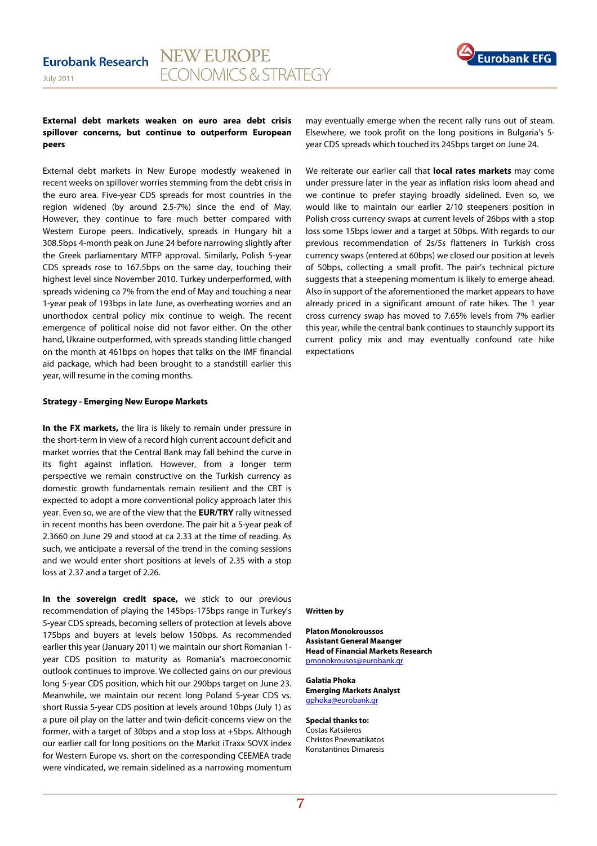

#### **External debt markets weaken on euro area debt crisis spillover concerns, but continue to outperform European peers**

External debt markets in New Europe modestly weakened in recent weeks on spillover worries stemming from the debt crisis in the euro area. Five-year CDS spreads for most countries in the region widened (by around 2.5-7%) since the end of May. However, they continue to fare much better compared with Western Europe peers. Indicatively, spreads in Hungary hit a 308.5bps 4-month peak on June 24 before narrowing slightly after the Greek parliamentary MTFP approval. Similarly, Polish 5-year CDS spreads rose to 167.5bps on the same day, touching their highest level since November 2010. Turkey underperformed, with spreads widening ca 7% from the end of May and touching a near 1-year peak of 193bps in late June, as overheating worries and an unorthodox central policy mix continue to weigh. The recent emergence of political noise did not favor either. On the other hand, Ukraine outperformed, with spreads standing little changed on the month at 461bps on hopes that talks on the IMF financial aid package, which had been brought to a standstill earlier this year, will resume in the coming months.

#### **Strategy - Emerging New Europe Markets**

**In the FX markets,** the lira is likely to remain under pressure in the short-term in view of a record high current account deficit and market worries that the Central Bank may fall behind the curve in its fight against inflation. However, from a longer term perspective we remain constructive on the Turkish currency as domestic growth fundamentals remain resilient and the CBT is expected to adopt a more conventional policy approach later this year. Even so, we are of the view that the **EUR/TRY** rally witnessed in recent months has been overdone. The pair hit a 5-year peak of 2.3660 on June 29 and stood at ca 2.33 at the time of reading. As such, we anticipate a reversal of the trend in the coming sessions and we would enter short positions at levels of 2.35 with a stop loss at 2.37 and a target of 2.26.

**In the sovereign credit space,** we stick to our previous recommendation of playing the 145bps-175bps range in Turkey's 5-year CDS spreads, becoming sellers of protection at levels above 175bps and buyers at levels below 150bps. As recommended earlier this year (January 2011) we maintain our short Romanian 1 year CDS position to maturity as Romania's macroeconomic outlook continues to improve. We collected gains on our previous long 5-year CDS position, which hit our 290bps target on June 23. Meanwhile, we maintain our recent long Poland 5-year CDS vs. short Russia 5-year CDS position at levels around 10bps (July 1) as a pure oil play on the latter and twin-deficit-concerns view on the former, with a target of 30bps and a stop loss at +5bps. Although our earlier call for long positions on the Markit iTraxx SOVX index for Western Europe vs. short on the corresponding CEEMEA trade were vindicated, we remain sidelined as a narrowing momentum

may eventually emerge when the recent rally runs out of steam. Elsewhere, we took profit on the long positions in Bulgaria's 5 year CDS spreads which touched its 245bps target on June 24.

We reiterate our earlier call that **local rates markets** may come under pressure later in the year as inflation risks loom ahead and we continue to prefer staying broadly sidelined. Even so, we would like to maintain our earlier 2/10 steepeners position in Polish cross currency swaps at current levels of 26bps with a stop loss some 15bps lower and a target at 50bps. With regards to our previous recommendation of 2s/5s flatteners in Turkish cross currency swaps (entered at 60bps) we closed our position at levels of 50bps, collecting a small profit. The pair's technical picture suggests that a steepening momentum is likely to emerge ahead. Also in support of the aforementioned the market appears to have already priced in a significant amount of rate hikes. The 1 year cross currency swap has moved to 7.65% levels from 7% earlier this year, while the central bank continues to staunchly support its current policy mix and may eventually confound rate hike expectations

#### **Written by**

**Platon Monokroussos Assistant General Maanger Head of Financial Markets Research**  pmonokrousos@eurobank.gr

**Galatia Phoka Emerging Markets Analyst**  gphoka@eurobank.gr

**Special thanks to:**  Costas Katsileros Christos Pnevmatikatos Konstantinos Dimaresis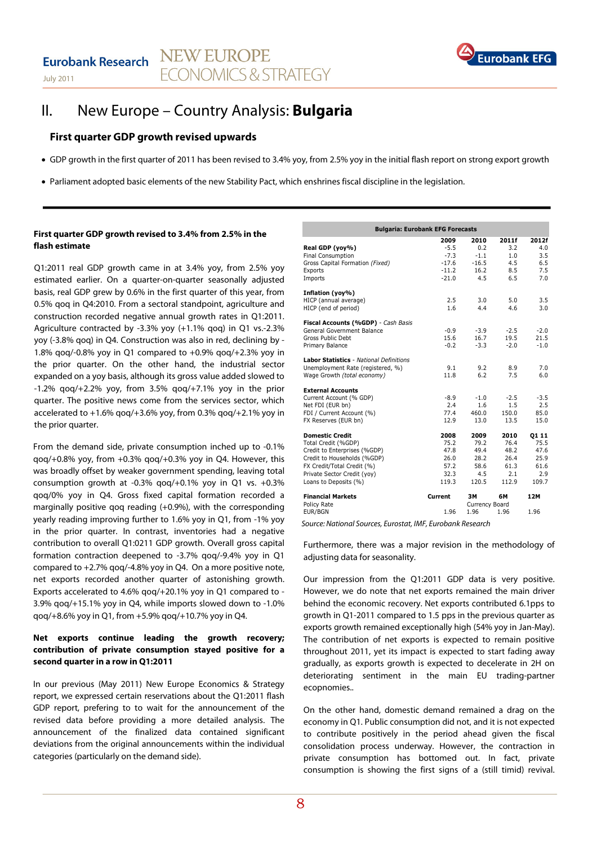

## II. New Europe – Country Analysis: **Bulgaria**

## **First quarter GDP growth revised upwards**

- GDP growth in the first quarter of 2011 has been revised to 3.4% yoy, from 2.5% yoy in the initial flash report on strong export growth
- Parliament adopted basic elements of the new Stability Pact, which enshrines fiscal discipline in the legislation.

### **First quarter GDP growth revised to 3.4% from 2.5% in the flash estimate**

Q1:2011 real GDP growth came in at 3.4% yoy, from 2.5% yoy estimated earlier. On a quarter-on-quarter seasonally adjusted basis, real GDP grew by 0.6% in the first quarter of this year, from 0.5% qoq in Q4:2010. From a sectoral standpoint, agriculture and construction recorded negative annual growth rates in Q1:2011. Agriculture contracted by -3.3% yoy (+1.1% qoq) in Q1 vs.-2.3% yoy (-3.8% qoq) in Q4. Construction was also in red, declining by - 1.8% qoq/-0.8% yoy in Q1 compared to +0.9% qoq/+2.3% yoy in the prior quarter. On the other hand, the industrial sector expanded on a yoy basis, although its gross value added slowed to  $-1.2\%$  qoq/ $+2.2\%$  yoy, from 3.5% qoq/ $+7.1\%$  yoy in the prior quarter. The positive news come from the services sector, which accelerated to +1.6% qoq/+3.6% yoy, from 0.3% qoq/+2.1% yoy in the prior quarter.

From the demand side, private consumption inched up to -0.1% qoq/+0.8% yoy, from +0.3% qoq/+0.3% yoy in Q4. However, this was broadly offset by weaker government spending, leaving total consumption growth at  $-0.3\%$  gog/ $+0.1\%$  yoy in O1 vs.  $+0.3\%$ qoq/0% yoy in Q4. Gross fixed capital formation recorded a marginally positive qoq reading (+0.9%), with the corresponding yearly reading improving further to 1.6% yoy in Q1, from -1% yoy in the prior quarter. In contrast, inventories had a negative contribution to overall Q1:0211 GDP growth. Overall gross capital formation contraction deepened to -3.7% qoq/-9.4% yoy in Q1 compared to +2.7% qoq/-4.8% yoy in Q4. On a more positive note, net exports recorded another quarter of astonishing growth. Exports accelerated to 4.6% qoq/+20.1% yoy in Q1 compared to - 3.9% qoq/+15.1% yoy in Q4, while imports slowed down to -1.0% qoq/+8.6% yoy in Q1, from +5.9% qoq/+10.7% yoy in Q4.

## **Net exports continue leading the growth recovery; contribution of private consumption stayed positive for a second quarter in a row in Q1:2011**

In our previous (May 2011) New Europe Economics & Strategy report, we expressed certain reservations about the Q1:2011 flash GDP report, prefering to to wait for the announcement of the revised data before providing a more detailed analysis. The announcement of the finalized data contained significant deviations from the original announcements within the individual categories (particularly on the demand side).

| <b>Bulgaria: Eurobank EFG Forecasts</b>        |                  |                |               |             |  |  |
|------------------------------------------------|------------------|----------------|---------------|-------------|--|--|
|                                                | 2009             | 2010           | 2011f         | 2012f       |  |  |
| Real GDP (yoy%)<br><b>Final Consumption</b>    | $-5.5$<br>$-7.3$ | 0.2<br>$-1.1$  | 3.2<br>1.0    | 4.0<br>3.5  |  |  |
| Gross Capital Formation (Fixed)                | $-17.6$          | $-16.5$        | 4.5           | 6.5         |  |  |
| Exports                                        | $-11.2$          | 16.2           | 8.5           | 7.5         |  |  |
| Imports                                        | $-21.0$          | 4.5            | 6.5           | 7.0         |  |  |
| Inflation (yoy%)                               |                  |                |               |             |  |  |
| HICP (annual average)                          | 2.5              | 3.0            | 5.0           | 3.5         |  |  |
| HICP (end of period)                           | 1.6              | 4.4            | 4.6           | 3.0         |  |  |
| Fiscal Accounts (%GDP) - Cash Basis            |                  |                |               |             |  |  |
| General Government Balance                     | $-0.9$           | $-3.9$         | $-2.5$        | $-2.0$      |  |  |
| Gross Public Debt                              | 15.6             | 16.7           | 19.5          | 21.5        |  |  |
| Primary Balance                                | $-0.2$           | $-3.3$         | $-2.0$        | $-1.0$      |  |  |
| <b>Labor Statistics - National Definitions</b> |                  |                |               |             |  |  |
| Unemployment Rate (registered, %)              | 9.1              | 9.2            | 8.9           | 7.0         |  |  |
| Wage Growth (total economy)                    | 11.8             | 6.2            | 7.5           | 6.0         |  |  |
| <b>External Accounts</b>                       |                  |                |               |             |  |  |
| Current Account (% GDP)                        | $-8.9$           | $-1.0$         | $-2.5$        | $-3.5$      |  |  |
| Net FDI (EUR bn)                               | 2.4<br>77.4      | 1.6            | 1.5           | 2.5<br>85.0 |  |  |
| FDI / Current Account (%)                      | 12.9             | 460.0<br>13.0  | 150.0<br>13.5 | 15.0        |  |  |
| FX Reserves (EUR bn)                           |                  |                |               |             |  |  |
| <b>Domestic Credit</b>                         | 2008             | 2009           | 2010          | 01 11       |  |  |
| Total Credit (%GDP)                            | 75.2             | 79.2           | 76.4          | 75.5        |  |  |
| Credit to Enterprises (%GDP)                   | 47.8             | 49.4           | 48.2          | 47.6        |  |  |
| Credit to Households (%GDP)                    | 26.0             | 28.2           | 26.4          | 25.9        |  |  |
| FX Credit/Total Credit (%)                     | 57.2             | 58.6           | 61.3          | 61.6        |  |  |
| Private Sector Credit (yoy)                    | 32.3             | 4.5            | 2.1           | 2.9         |  |  |
| Loans to Deposits (%)                          | 119.3            | 120.5          | 112.9         | 109.7       |  |  |
| <b>Financial Markets</b>                       | Current          | ЗΜ             | 6М            | 12M         |  |  |
| Policy Rate                                    |                  | Currency Board |               |             |  |  |
| EUR/BGN                                        | 1.96             | 1.96           | 1.96          | 1.96        |  |  |

Source: National Sources, Eurostat, IMF, Eurobank Research

Furthermore, there was a major revision in the methodology of adjusting data for seasonality.

Our impression from the Q1:2011 GDP data is very positive. However, we do note that net exports remained the main driver behind the economic recovery. Net exports contributed 6.1pps to growth in Q1-2011 compared to 1.5 pps in the previous quarter as exports growth remained exceptionally high (54% yoy in Jan-May). The contribution of net exports is expected to remain positive throughout 2011, yet its impact is expected to start fading away gradually, as exports growth is expected to decelerate in 2H on deteriorating sentiment in the main EU trading-partner ecopnomies..

On the other hand, domestic demand remained a drag on the economy in Q1. Public consumption did not, and it is not expected to contribute positively in the period ahead given the fiscal consolidation process underway. However, the contraction in private consumption has bottomed out. In fact, private consumption is showing the first signs of a (still timid) revival.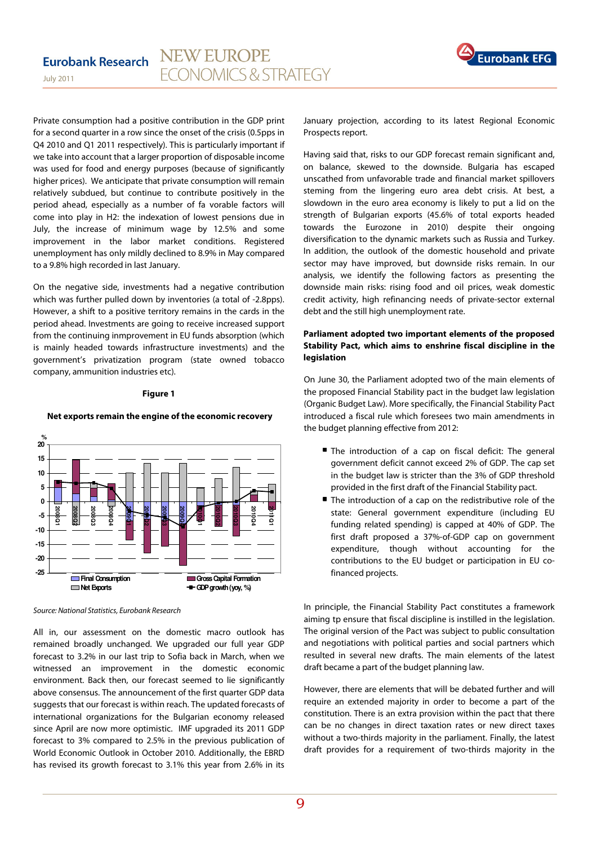

Private consumption had a positive contribution in the GDP print for a second quarter in a row since the onset of the crisis (0.5pps in Q4 2010 and Q1 2011 respectively). This is particularly important if we take into account that a larger proportion of disposable income was used for food and energy purposes (because of significantly higher prices). We anticipate that private consumption will remain relatively subdued, but continue to contribute positively in the period ahead, especially as a number of fa vorable factors will come into play in H2: the indexation of lowest pensions due in July, the increase of minimum wage by 12.5% and some improvement in the labor market conditions. Registered unemployment has only mildly declined to 8.9% in May compared to a 9.8% high recorded in last January.

On the negative side, investments had a negative contribution which was further pulled down by inventories (a total of -2.8pps). However, a shift to a positive territory remains in the cards in the period ahead. Investments are going to receive increased support from the continuing inmprovement in EU funds absorption (which is mainly headed towards infrastructure investments) and the government's privatization program (state owned tobacco company, ammunition industries etc).

#### **Figure 1**

#### **Net exports remain the engine of the economic recovery**



Source: National Statistics, Eurobank Research

All in, our assessment on the domestic macro outlook has remained broadly unchanged. We upgraded our full year GDP forecast to 3.2% in our last trip to Sofia back in March, when we witnessed an improvement in the domestic economic environment. Back then, our forecast seemed to lie significantly above consensus. The announcement of the first quarter GDP data suggests that our forecast is within reach. The updated forecasts of international organizations for the Bulgarian economy released since April are now more optimistic. IMF upgraded its 2011 GDP forecast to 3% compared to 2.5% in the previous publication of World Economic Outlook in October 2010. Additionally, the EBRD has revised its growth forecast to 3.1% this year from 2.6% in its

January projection, according to its latest Regional Economic Prospects report.

Having said that, risks to our GDP forecast remain significant and, on balance, skewed to the downside. Bulgaria has escaped unscathed from unfavorable trade and financial market spillovers steming from the lingering euro area debt crisis. At best, a slowdown in the euro area economy is likely to put a lid on the strength of Bulgarian exports (45.6% of total exports headed towards the Eurozone in 2010) despite their ongoing diversification to the dynamic markets such as Russia and Turkey. In addition, the outlook of the domestic household and private sector may have improved, but downside risks remain. In our analysis, we identify the following factors as presenting the downside main risks: rising food and oil prices, weak domestic credit activity, high refinancing needs of private-sector external debt and the still high unemployment rate.

### **Parliament adopted two important elements of the proposed Stability Pact, which aims to enshrine fiscal discipline in the legislation**

On June 30, the Parliament adopted two of the main elements of the proposed Financial Stability pact in the budget law legislation (Organic Budget Law). More specifically, the Financial Stability Pact introduced a fiscal rule which foresees two main amendments in the budget planning effective from 2012:

- The introduction of a cap on fiscal deficit: The general government deficit cannot exceed 2% of GDP. The cap set in the budget law is stricter than the 3% of GDP threshold provided in the first draft of the Financial Stability pact.
- The introduction of a cap on the redistributive role of the state: General government expenditure (including EU funding related spending) is capped at 40% of GDP. The first draft proposed a 37%-of-GDP cap on government expenditure, though without accounting for the contributions to the EU budget or participation in EU cofinanced projects.

In principle, the Financial Stability Pact constitutes a framework aiming tp ensure that fiscal discipline is instilled in the legislation. The original version of the Pact was subject to public consultation and negotiations with political parties and social partners which resulted in several new drafts. The main elements of the latest draft became a part of the budget planning law.

However, there are elements that will be debated further and will require an extended majority in order to become a part of the constitution. There is an extra provision within the pact that there can be no changes in direct taxation rates or new direct taxes without a two-thirds majority in the parliament. Finally, the latest draft provides for a requirement of two-thirds majority in the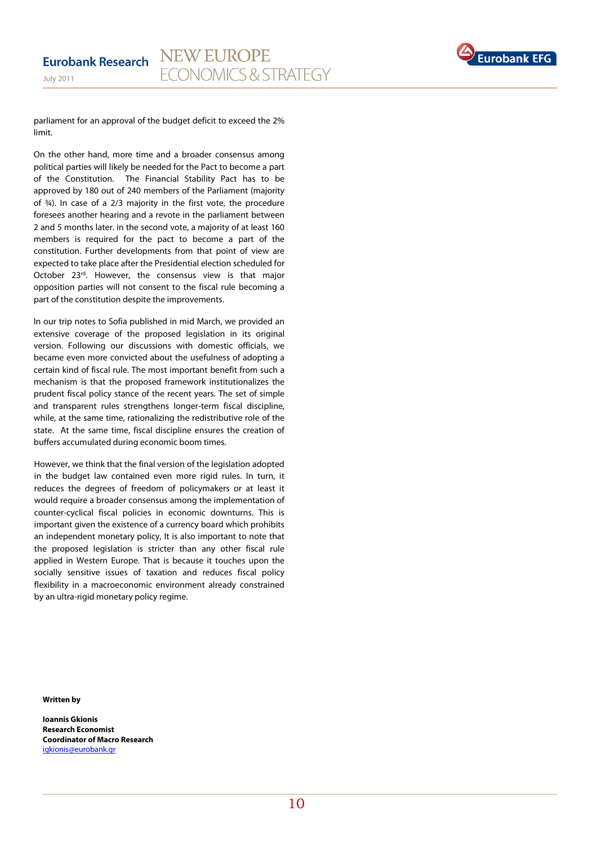

parliament for an approval of the budget deficit to exceed the 2% limit.

On the other hand, more time and a broader consensus among political parties will likely be needed for the Pact to become a part of the Constitution. The Financial Stability Pact has to be approved by 180 out of 240 members of the Parliament (majority of ¾). In case of a 2/3 majority in the first vote, the procedure foresees another hearing and a revote in the parliament between 2 and 5 months later. in the second vote, a majority of at least 160 members is required for the pact to become a part of the constitution. Further developments from that point of view are expected to take place after the Presidential election scheduled for October 23rd. However, the consensus view is that major opposition parties will not consent to the fiscal rule becoming a part of the constitution despite the improvements.

In our trip notes to Sofia published in mid March, we provided an extensive coverage of the proposed legislation in its original version. Following our discussions with domestic officials, we became even more convicted about the usefulness of adopting a certain kind of fiscal rule. The most important benefit from such a mechanism is that the proposed framework institutionalizes the prudent fiscal policy stance of the recent years. The set of simple and transparent rules strengthens longer-term fiscal discipline, while, at the same time, rationalizing the redistributive role of the state. At the same time, fiscal discipline ensures the creation of buffers accumulated during economic boom times.

However, we think that the final version of the legislation adopted in the budget law contained even more rigid rules. In turn, it reduces the degrees of freedom of policymakers or at least it would require a broader consensus among the implementation of counter-cyclical fiscal policies in economic downturns. This is important given the existence of a currency board which prohibits an independent monetary policy, It is also important to note that the proposed legislation is stricter than any other fiscal rule applied in Western Europe. That is because it touches upon the socially sensitive issues of taxation and reduces fiscal policy flexibility in a macroeconomic environment already constrained by an ultra-rigid monetary policy regime.

**Written by** 

**Ioannis Gkionis Research Economist Coordinator of Macro Research**  igkionis@eurobank.gr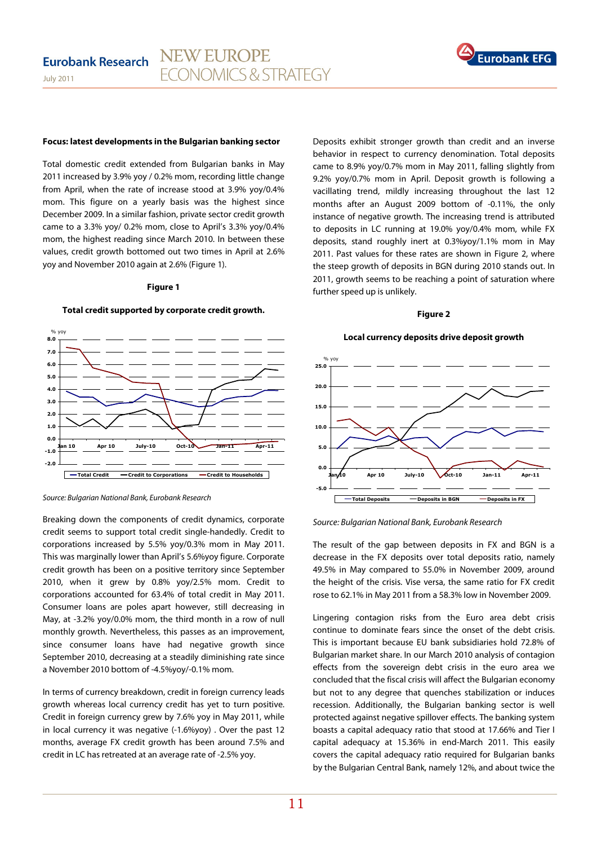

#### **Focus: latest developments in the Bulgarian banking sector**

Total domestic credit extended from Bulgarian banks in May 2011 increased by 3.9% yoy / 0.2% mom, recording little change from April, when the rate of increase stood at 3.9% yoy/0.4% mom. This figure on a yearly basis was the highest since December 2009. In a similar fashion, private sector credit growth came to a 3.3% yoy/ 0.2% mom, close to April's 3.3% yoy/0.4% mom, the highest reading since March 2010. In between these values, credit growth bottomed out two times in April at 2.6% yoy and November 2010 again at 2.6% (Figure 1).

#### **Figure 1**

#### **Total credit supported by corporate credit growth.**



Source: Bulgarian National Bank, Eurobank Research

Breaking down the components of credit dynamics, corporate credit seems to support total credit single-handedly. Credit to corporations increased by 5.5% yoy/0.3% mom in May 2011. This was marginally lower than April's 5.6%yoy figure. Corporate credit growth has been on a positive territory since September 2010, when it grew by 0.8% yoy/2.5% mom. Credit to corporations accounted for 63.4% of total credit in May 2011. Consumer loans are poles apart however, still decreasing in May, at -3.2% yoy/0.0% mom, the third month in a row of null monthly growth. Nevertheless, this passes as an improvement, since consumer loans have had negative growth since September 2010, decreasing at a steadily diminishing rate since a November 2010 bottom of -4.5%yoy/-0.1% mom.

In terms of currency breakdown, credit in foreign currency leads growth whereas local currency credit has yet to turn positive. Credit in foreign currency grew by 7.6% yoy in May 2011, while in local currency it was negative (-1.6%yoy) . Over the past 12 months, average FX credit growth has been around 7.5% and credit in LC has retreated at an average rate of -2.5% yoy.

Deposits exhibit stronger growth than credit and an inverse behavior in respect to currency denomination. Total deposits came to 8.9% yoy/0.7% mom in May 2011, falling slightly from 9.2% yoy/0.7% mom in April. Deposit growth is following a vacillating trend, mildly increasing throughout the last 12 months after an August 2009 bottom of -0.11%, the only instance of negative growth. The increasing trend is attributed to deposits in LC running at 19.0% yoy/0.4% mom, while FX deposits, stand roughly inert at 0.3%yoy/1.1% mom in May 2011. Past values for these rates are shown in Figure 2, where the steep growth of deposits in BGN during 2010 stands out. In 2011, growth seems to be reaching a point of saturation where further speed up is unlikely.

#### **Figure 2**

#### **Local currency deposits drive deposit growth**



Source: Bulgarian National Bank, Eurobank Research

The result of the gap between deposits in FX and BGN is a decrease in the FX deposits over total deposits ratio, namely 49.5% in May compared to 55.0% in November 2009, around the height of the crisis. Vise versa, the same ratio for FX credit rose to 62.1% in May 2011 from a 58.3% low in November 2009.

Lingering contagion risks from the Euro area debt crisis continue to dominate fears since the onset of the debt crisis. This is important because EU bank subsidiaries hold 72.8% of Bulgarian market share. In our March 2010 analysis of contagion effects from the sovereign debt crisis in the euro area we concluded that the fiscal crisis will affect the Bulgarian economy but not to any degree that quenches stabilization or induces recession. Additionally, the Bulgarian banking sector is well protected against negative spillover effects. The banking system boasts a capital adequacy ratio that stood at 17.66% and Tier I capital adequacy at 15.36% in end-March 2011. This easily covers the capital adequacy ratio required for Bulgarian banks by the Bulgarian Central Bank, namely 12%, and about twice the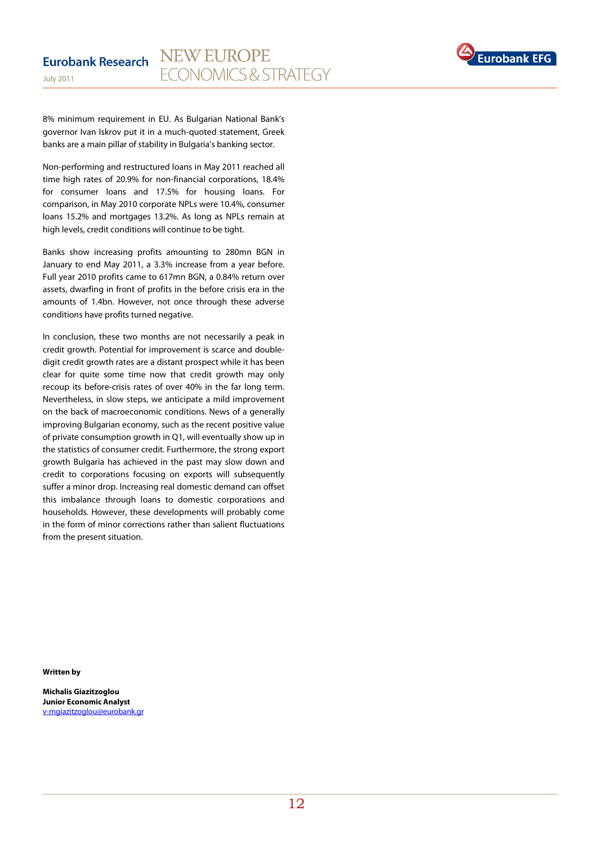

8% minimum requirement in EU. As Bulgarian National Bank's governor Ivan Iskrov put it in a much-quoted statement, Greek banks are a main pillar of stability in Bulgaria's banking sector.

Non-performing and restructured loans in May 2011 reached all time high rates of 20.9% for non-financial corporations, 18.4% for consumer loans and 17.5% for housing loans. For comparison, in May 2010 corporate NPLs were 10.4%, consumer loans 15.2% and mortgages 13.2%. As long as NPLs remain at high levels, credit conditions will continue to be tight.

Banks show increasing profits amounting to 280mn BGN in January to end May 2011, a 3.3% increase from a year before. Full year 2010 profits came to 617mn BGN, a 0.84% return over assets, dwarfing in front of profits in the before crisis era in the amounts of 1.4bn. However, not once through these adverse conditions have profits turned negative.

In conclusion, these two months are not necessarily a peak in credit growth. Potential for improvement is scarce and doubledigit credit growth rates are a distant prospect while it has been clear for quite some time now that credit growth may only recoup its before-crisis rates of over 40% in the far long term. Nevertheless, in slow steps, we anticipate a mild improvement on the back of macroeconomic conditions. News of a generally improving Bulgarian economy, such as the recent positive value of private consumption growth in Q1, will eventually show up in the statistics of consumer credit. Furthermore, the strong export growth Bulgaria has achieved in the past may slow down and credit to corporations focusing on exports will subsequently suffer a minor drop. Increasing real domestic demand can offset this imbalance through loans to domestic corporations and households. However, these developments will probably come in the form of minor corrections rather than salient fluctuations from the present situation.

**Written by** 

**Michalis Giazitzoglou Junior Economic Analyst**  v-mgiazitzoglou@eurobank.gr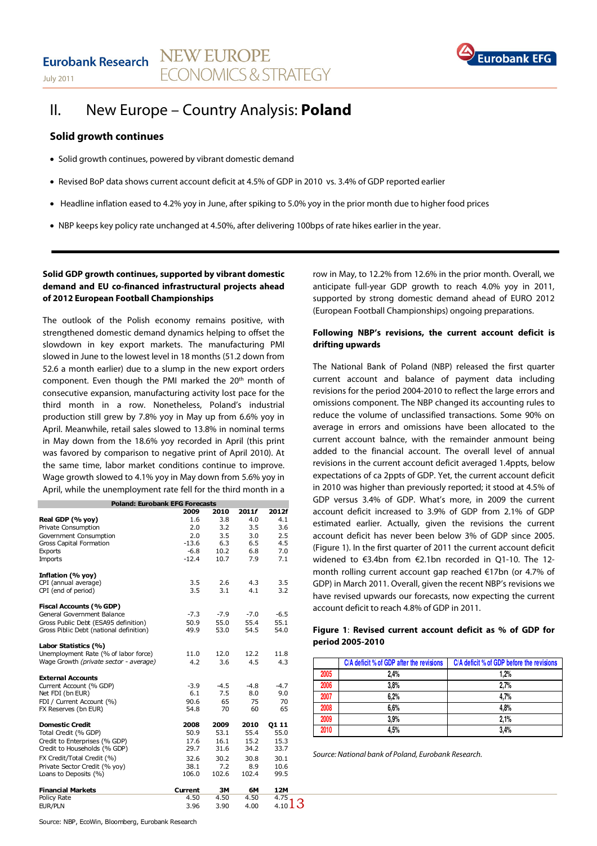## Eurobank Research NEW EUROPE **FCONOMICS & STRATEGY** July 2011



## II. New Europe – Country Analysis: **Poland**

### **Solid growth continues**

- Solid growth continues, powered by vibrant domestic demand
- Revised BoP data shows current account deficit at 4.5% of GDP in 2010 vs. 3.4% of GDP reported earlier
- Headline inflation eased to 4.2% yoy in June, after spiking to 5.0% yoy in the prior month due to higher food prices
- NBP keeps key policy rate unchanged at 4.50%, after delivering 100bps of rate hikes earlier in the year.

### **Solid GDP growth continues, supported by vibrant domestic demand and EU co-financed infrastructural projects ahead of 2012 European Football Championships**

The outlook of the Polish economy remains positive, with strengthened domestic demand dynamics helping to offset the slowdown in key export markets. The manufacturing PMI slowed in June to the lowest level in 18 months (51.2 down from 52.6 a month earlier) due to a slump in the new export orders component. Even though the PMI marked the 20<sup>th</sup> month of consecutive expansion, manufacturing activity lost pace for the third month in a row. Nonetheless, Poland's industrial production still grew by 7.8% yoy in May up from 6.6% yoy in April. Meanwhile, retail sales slowed to 13.8% in nominal terms in May down from the 18.6% yoy recorded in April (this print was favored by comparison to negative print of April 2010). At the same time, labor market conditions continue to improve. Wage growth slowed to 4.1% yoy in May down from 5.6% yoy in April, while the unemployment rate fell for the third month in a

| <b>Poland: Eurobank EFG Forecasts</b>   |                |        |        |                                 |
|-----------------------------------------|----------------|--------|--------|---------------------------------|
|                                         | 2009           | 2010   | 2011f  | 2012f                           |
| Real GDP (% yoy)                        | 1.6            | 3.8    | 4.0    | 4.1                             |
| Private Consumption                     | 2.0            | 3.2    | 3.5    | 3.6                             |
| Government Consumption                  | 2.0            | 3.5    | 3.0    | 2.5                             |
| Gross Capital Formation                 | $-13.6$        | 6.3    | 6.5    | 4.5                             |
| <b>Exports</b>                          | $-6.8$         | 10.2   | 6.8    | 7.0                             |
| Imports                                 | $-12.4$        | 10.7   | 7.9    | 7.1                             |
| Inflation (% yoy)                       |                |        |        |                                 |
| CPI (annual average)                    | 3.5            | 2.6    | 4.3    | 3.5                             |
| CPI (end of period)                     | 3.5            | 3.1    | 4.1    | 3.2                             |
| Fiscal Accounts (% GDP)                 |                |        |        |                                 |
| General Government Balance              | $-7.3$         | $-7.9$ | $-7.0$ | $-6.5$                          |
| Gross Public Debt (ESA95 definition)    | 50.9           | 55.0   | 55.4   | 55.1                            |
| Gross Piblic Debt (national definition) | 49.9           | 53.0   | 54.5   | 54.0                            |
| Labor Statistics (%)                    |                |        |        |                                 |
| Unemployment Rate (% of labor force)    | 11.0           | 12.0   | 12.2   | 11.8                            |
| Wage Growth (private sector - average)  | 4.2            | 3.6    | 4.5    | 4.3                             |
| <b>External Accounts</b>                |                |        |        |                                 |
| Current Account (% GDP)                 | $-3.9$         | $-4.5$ | $-4.8$ | $-4.7$                          |
| Net FDI (bn EUR)                        | 6.1            | 7.5    | 8.0    | 9.0                             |
| FDI / Current Account (%)               | 90.6           | 65     | 75     | 70                              |
| FX Reserves (bn EUR)                    | 54.8           | 70     | 60     | 65                              |
| <b>Domestic Credit</b>                  | 2008           | 2009   | 2010   | Q1 11                           |
| Total Credit (% GDP)                    | 50.9           | 53.1   | 55.4   | 55.0                            |
| Credit to Enterprises (% GDP)           | 17.6           | 16.1   | 15.2   | 15.3                            |
| Credit to Households (% GDP)            | 29.7           | 31.6   | 34.2   | 33.7                            |
| FX Credit/Total Credit (%)              | 32.6           | 30.2   | 30.8   | 30.1                            |
| Private Sector Credit (% yoy)           | 38.1           | 7.2    | 8.9    | 10.6                            |
| Loans to Deposits (%)                   | 106.0          | 102.6  | 102.4  | 99.5                            |
| <b>Financial Markets</b>                | <b>Current</b> | 3M     | 6M     | 12M                             |
| Policy Rate                             | 4.50           | 4.50   | 4.50   | 4.75                            |
| EUR/PLN                                 | 3.96           | 3.90   | 4.00   | $4.10$ $\overline{\phantom{1}}$ |

row in May, to 12.2% from 12.6% in the prior month. Overall, we anticipate full-year GDP growth to reach 4.0% yoy in 2011, supported by strong domestic demand ahead of EURO 2012 (European Football Championships) ongoing preparations.

## **Following NBP's revisions, the current account deficit is drifting upwards**

The National Bank of Poland (NBP) released the first quarter current account and balance of payment data including revisions for the period 2004-2010 to reflect the large errors and omissions component. The NBP changed its accounting rules to reduce the volume of unclassified transactions. Some 90% on average in errors and omissions have been allocated to the current account balnce, with the remainder anmount being added to the financial account. The overall level of annual revisions in the current account deficit averaged 1.4ppts, below expectations of ca 2ppts of GDP. Yet, the current account deficit in 2010 was higher than previously reported; it stood at 4.5% of GDP versus 3.4% of GDP. What's more, in 2009 the current account deficit increased to 3.9% of GDP from 2.1% of GDP estimated earlier. Actually, given the revisions the current account deficit has never been below 3% of GDP since 2005. (Figure 1). In the first quarter of 2011 the current account deficit widened to €3.4bn from €2.1bn recorded in Q1-10. The 12 month rolling current account gap reached €17bn (or 4.7% of GDP) in March 2011. Overall, given the recent NBP's revisions we have revised upwards our forecasts, now expecting the current account deficit to reach 4.8% of GDP in 2011.

#### **Figure 1**: **Revised current account deficit as % of GDP for period 2005-2010**

|      | C/A deficit % of GDP after the revisions | C/A deficit % of GDP before the revisions |
|------|------------------------------------------|-------------------------------------------|
| 2005 | 2.4%                                     | 1.2%                                      |
| 2006 | 3.8%                                     | 2.7%                                      |
| 2007 | 6.2%                                     | 4.7%                                      |
| 2008 | 6.6%                                     | 4.8%                                      |
| 2009 | 3.9%                                     | 2.1%                                      |
| 2010 | 4.5%                                     | 3.4%                                      |

Source: National bank of Poland, Eurobank Research.

13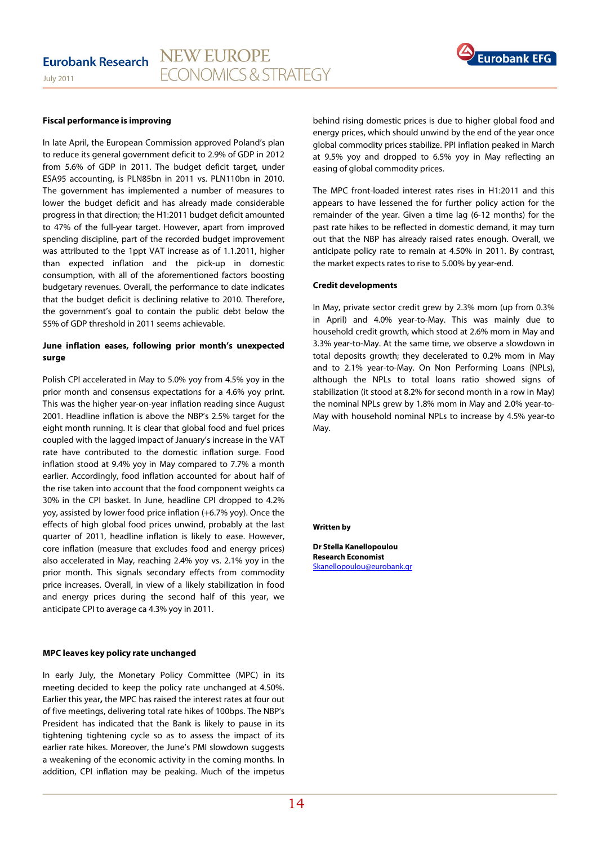#### NEW EUROPE **Eurobank Research FCONOMICS & STRATEGY** July 2011



#### **Fiscal performance is improving**

In late April, the European Commission approved Poland's plan to reduce its general government deficit to 2.9% of GDP in 2012 from 5.6% of GDP in 2011. The budget deficit target, under ESA95 accounting, is PLN85bn in 2011 vs. PLN110bn in 2010. The government has implemented a number of measures to lower the budget deficit and has already made considerable progress in that direction; the H1:2011 budget deficit amounted to 47% of the full-year target. However, apart from improved spending discipline, part of the recorded budget improvement was attributed to the 1ppt VAT increase as of 1.1.2011, higher than expected inflation and the pick-up in domestic consumption, with all of the aforementioned factors boosting budgetary revenues. Overall, the performance to date indicates that the budget deficit is declining relative to 2010. Therefore, the government's goal to contain the public debt below the 55% of GDP threshold in 2011 seems achievable.

## **June inflation eases, following prior month's unexpected surge**

Polish CPI accelerated in May to 5.0% yoy from 4.5% yoy in the prior month and consensus expectations for a 4.6% yoy print. This was the higher year-on-year inflation reading since August 2001. Headline inflation is above the NBP's 2.5% target for the eight month running. It is clear that global food and fuel prices coupled with the lagged impact of January's increase in the VAT rate have contributed to the domestic inflation surge. Food inflation stood at 9.4% yoy in May compared to 7.7% a month earlier. Accordingly, food inflation accounted for about half of the rise taken into account that the food component weights ca 30% in the CPI basket. In June, headline CPI dropped to 4.2% yoy, assisted by lower food price inflation (+6.7% yoy). Once the effects of high global food prices unwind, probably at the last quarter of 2011, headline inflation is likely to ease. However, core inflation (measure that excludes food and energy prices) also accelerated in May, reaching 2.4% yoy vs. 2.1% yoy in the prior month. This signals secondary effects from commodity price increases. Overall, in view of a likely stabilization in food and energy prices during the second half of this year, we anticipate CPI to average ca 4.3% yoy in 2011.

#### **MPC leaves key policy rate unchanged**

In early July, the Monetary Policy Committee (MPC) in its meeting decided to keep the policy rate unchanged at 4.50%. Earlier this year**,** the MPC has raised the interest rates at four out of five meetings, delivering total rate hikes of 100bps. The NBP's President has indicated that the Bank is likely to pause in its tightening tightening cycle so as to assess the impact of its earlier rate hikes. Moreover, the June's PMI slowdown suggests a weakening of the economic activity in the coming months. In addition, CPI inflation may be peaking. Much of the impetus behind rising domestic prices is due to higher global food and energy prices, which should unwind by the end of the year once global commodity prices stabilize. PPI inflation peaked in March at 9.5% yoy and dropped to 6.5% yoy in May reflecting an easing of global commodity prices.

The MPC front-loaded interest rates rises in H1:2011 and this appears to have lessened the for further policy action for the remainder of the year. Given a time lag (6-12 months) for the past rate hikes to be reflected in domestic demand, it may turn out that the NBP has already raised rates enough. Overall, we anticipate policy rate to remain at 4.50% in 2011. By contrast, the market expects rates to rise to 5.00% by year-end.

#### **Credit developments**

In May, private sector credit grew by 2.3% mom (up from 0.3% in April) and 4.0% year-to-May. This was mainly due to household credit growth, which stood at 2.6% mom in May and 3.3% year-to-May. At the same time, we observe a slowdown in total deposits growth; they decelerated to 0.2% mom in May and to 2.1% year-to-May. On Non Performing Loans (NPLs), although the NPLs to total loans ratio showed signs of stabilization (it stood at 8.2% for second month in a row in May) the nominal NPLs grew by 1.8% mom in May and 2.0% year-to-May with household nominal NPLs to increase by 4.5% year-to May.

#### **Written by**

**Dr Stella Kanellopoulou Research Economist**  Skanellopoulou@eurobank.gr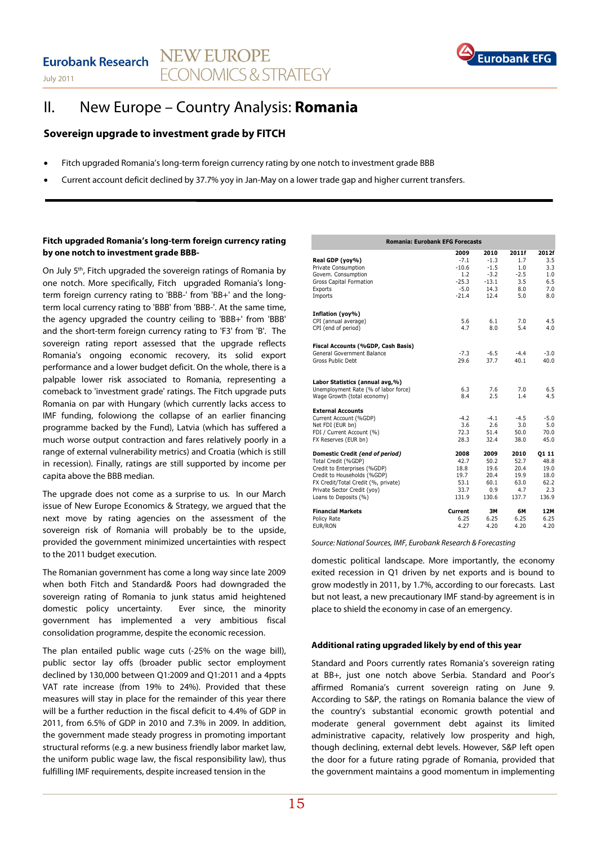

## II. New Europe – Country Analysis: **Romania**

## **Sovereign upgrade to investment grade by FITCH**

- Fitch upgraded Romania's long-term foreign currency rating by one notch to investment grade BBB
- Current account deficit declined by 37.7% yoy in Jan-May on a lower trade gap and higher current transfers.

## **Fitch upgraded Romania's long-term foreign currency rating by one notch to investment grade BBB-**

On July 5<sup>th</sup>, Fitch upgraded the sovereign ratings of Romania by one notch. More specifically, Fitch upgraded Romania's longterm foreign currency rating to 'BBB-' from 'BB+' and the longterm local currency rating to 'BBB' from 'BBB-'. At the same time, the agency upgraded the country ceiling to 'BBB+' from 'BBB' and the short-term foreign currency rating to 'F3' from 'B'. The sovereign rating report assessed that the upgrade reflects Romania's ongoing economic recovery, its solid export performance and a lower budget deficit. On the whole, there is a palpable lower risk associated to Romania, representing a comeback to 'investment grade' ratings. The Fitch upgrade puts Romania on par with Hungary (which currently lacks access to IMF funding, folowiong the collapse of an earlier financing programme backed by the Fund), Latvia (which has suffered a much worse output contraction and fares relatively poorly in a range of external vulnerability metrics) and Croatia (which is still in recession). Finally, ratings are still supported by income per capita above the BBB median.

The upgrade does not come as a surprise to us. In our March issue of New Europe Economics & Strategy, we argued that the next move by rating agencies on the assessment of the sovereign risk of Romania will probably be to the upside, provided the government minimized uncertainties with respect to the 2011 budget execution.

The Romanian government has come a long way since late 2009 when both Fitch and Standard& Poors had downgraded the sovereign rating of Romania to junk status amid heightened domestic policy uncertainty. Ever since, the minority government has implemented a very ambitious fiscal consolidation programme, despite the economic recession.

The plan entailed public wage cuts (-25% on the wage bill), public sector lay offs (broader public sector employment declined by 130,000 between Q1:2009 and Q1:2011 and a 4ppts VAT rate increase (from 19% to 24%). Provided that these measures will stay in place for the remainder of this year there will be a further reduction in the fiscal deficit to 4.4% of GDP in 2011, from 6.5% of GDP in 2010 and 7.3% in 2009. In addition, the government made steady progress in promoting important structural reforms (e.g. a new business friendly labor market law, the uniform public wage law, the fiscal responsibility law), thus fulfilling IMF requirements, despite increased tension in the

| <b>Romania: Eurobank EFG Forecasts</b>                                                                 |                   |                  |            |            |
|--------------------------------------------------------------------------------------------------------|-------------------|------------------|------------|------------|
|                                                                                                        | 2009              | 2010             | 2011f      | 2012f      |
| Real GDP (yoy%)<br>Private Consumption                                                                 | $-7.1$<br>$-10.6$ | $-1.3$<br>$-1.5$ | 1.7<br>1.0 | 3.5<br>3.3 |
| Govern. Consumption                                                                                    | 1.2               | $-3.2$           | $-2.5$     | 1.0        |
| Gross Capital Formation                                                                                | $-25.3$           | $-13.1$          | 3.5        | 6.5        |
| Exports                                                                                                | $-5.0$            | 14.3             | 8.0        | 7.0        |
| Imports                                                                                                | $-21.4$           | 12.4             | 5.0        | 8.0        |
| Inflation (yoy%)                                                                                       |                   |                  |            |            |
| CPI (annual average)                                                                                   | 5.6               | 6.1              | 7.0        | 4.5        |
| CPI (end of period)                                                                                    | 4.7               | 8.0              | 5.4        | 4.0        |
| Fiscal Accounts (%GDP, Cash Basis)                                                                     |                   |                  |            |            |
| General Government Balance                                                                             | $-7.3$            | $-6.5$           | $-4.4$     | $-3.0$     |
| Gross Public Debt                                                                                      | 29.6              | 37.7             | 40.1       | 40.0       |
| Labor Statistics (annual avg,%)<br>Unemployment Rate (% of labor force)<br>Wage Growth (total economy) | 6.3<br>8.4        | 7.6<br>2.5       | 7.0<br>1.4 | 6.5<br>4.5 |
| <b>External Accounts</b>                                                                               |                   |                  |            |            |
| Current Account (%GDP)                                                                                 | $-4.2$            | $-4.1$           | $-4.5$     | $-5.0$     |
| Net FDI (EUR bn)                                                                                       | 3.6               | 2.6              | 3.0        | 5.0        |
| FDI / Current Account (%)                                                                              | 72.3              | 51.4             | 50.0       | 70.0       |
| FX Reserves (EUR bn)                                                                                   | 28.3              | 32.4             | 38.0       | 45.0       |
| Domestic Credit (end of period)                                                                        | 2008              | 2009             | 2010       | 01 11      |
| Total Credit (%GDP)                                                                                    | 42.7              | 50.2             | 52.7       | 48.8       |
| Credit to Enterprises (%GDP)                                                                           | 18.8              | 19.6             | 20.4       | 19.0       |
| Credit to Households (%GDP)                                                                            | 19.7              | 20.4             | 19.9       | 18.0       |
| FX Credit/Total Credit (%, private)                                                                    | 53.1              | 60.1             | 63.0       | 62.2       |
| Private Sector Credit (yoy)                                                                            | 33.7              | 0.9              | 4.7        | 2.3        |
| Loans to Deposits (%)                                                                                  | 131.9             | 130.6            | 137.7      | 136.9      |
| <b>Financial Markets</b>                                                                               | Current           | 3M               | 6М         | 12M        |
| Policy Rate                                                                                            | 6.25              | 6.25             | 6.25       | 6.25       |
| EUR/RON                                                                                                | 4.27              | 4.20             | 4.20       | 4.20       |

Source: National Sources, IMF, Eurobank Research & Forecasting

domestic political landscape. More importantly, the economy exited recession in Q1 driven by net exports and is bound to grow modestly in 2011, by 1.7%, according to our forecasts. Last but not least, a new precautionary IMF stand-by agreement is in place to shield the economy in case of an emergency.

## **Additional rating upgraded likely by end of this year**

Standard and Poors currently rates Romania's sovereign rating at BB+, just one notch above Serbia. Standard and Poor's affirmed Romania's current sovereign rating on June 9. According to S&P, the ratings on Romania balance the view of the country's substantial economic growth potential and moderate general government debt against its limited administrative capacity, relatively low prosperity and high, though declining, external debt levels. However, S&P left open the door for a future rating pgrade of Romania, provided that the government maintains a good momentum in implementing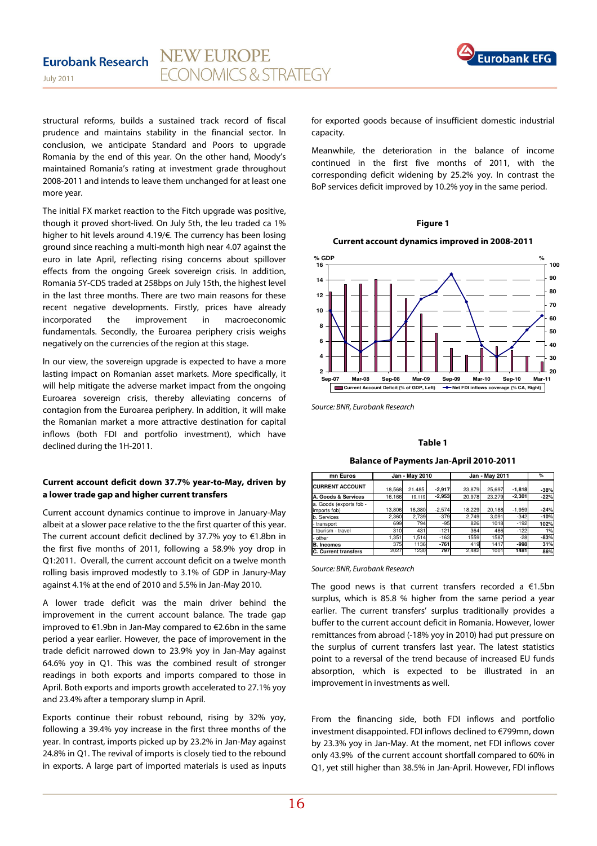

structural reforms, builds a sustained track record of fiscal prudence and maintains stability in the financial sector. In conclusion, we anticipate Standard and Poors to upgrade Romania by the end of this year. On the other hand, Moody's maintained Romania's rating at investment grade throughout 2008-2011 and intends to leave them unchanged for at least one more year.

The initial FX market reaction to the Fitch upgrade was positive, though it proved short-lived. On July 5th, the leu traded ca 1% higher to hit levels around 4.19/€. The currency has been losing ground since reaching a multi-month high near 4.07 against the euro in late April, reflecting rising concerns about spillover effects from the ongoing Greek sovereign crisis. In addition, Romania 5Y-CDS traded at 258bps on July 15th, the highest level in the last three months. There are two main reasons for these recent negative developments. Firstly, prices have already incorporated the improvement in macroeconomic fundamentals. Secondly, the Euroarea periphery crisis weighs negatively on the currencies of the region at this stage.

In our view, the sovereign upgrade is expected to have a more lasting impact on Romanian asset markets. More specifically, it will help mitigate the adverse market impact from the ongoing Euroarea sovereign crisis, thereby alleviating concerns of contagion from the Euroarea periphery. In addition, it will make the Romanian market a more attractive destination for capital inflows (both FDI and portfolio investment), which have declined during the 1H-2011.

## **Current account deficit down 37.7% year-to-May, driven by a lower trade gap and higher current transfers**

Current account dynamics continue to improve in January-May albeit at a slower pace relative to the the first quarter of this year. The current account deficit declined by 37.7% yoy to €1.8bn in the first five months of 2011, following a 58.9% yoy drop in Q1:2011. Overall, the current account deficit on a twelve month rolling basis improved modestly to 3.1% of GDP in Janury-May against 4.1% at the end of 2010 and 5.5% in Jan-May 2010.

A lower trade deficit was the main driver behind the improvement in the current account balance. The trade gap improved to €1.9bn in Jan-May compared to €2.6bn in the same period a year earlier. However, the pace of improvement in the trade deficit narrowed down to 23.9% yoy in Jan-May against 64.6% yoy in Q1. This was the combined result of stronger readings in both exports and imports compared to those in April. Both exports and imports growth accelerated to 27.1% yoy and 23.4% after a temporary slump in April.

Exports continue their robust rebound, rising by 32% yoy, following a 39.4% yoy increase in the first three months of the year. In contrast, imports picked up by 23.2% in Jan-May against 24.8% in Q1. The revival of imports is closely tied to the rebound in exports. A large part of imported materials is used as inputs for exported goods because of insufficient domestic industrial capacity.

Meanwhile, the deterioration in the balance of income continued in the first five months of 2011, with the corresponding deficit widening by 25.2% yoy. In contrast the BoP services deficit improved by 10.2% yoy in the same period.

#### **Figure 1**

#### **Current account dynamics improved in 2008-2011**



Source: BNR, Eurobank Research

#### **Table 1**

#### **Balance of Payments Jan-April 2010-2011**

| mn Euros                                |        | Jan - May 2010 |          |        | Jan - May 2011 |          | %      |
|-----------------------------------------|--------|----------------|----------|--------|----------------|----------|--------|
| <b>CURRENT ACCOUNT</b>                  | 18,568 | 21.485         | $-2,917$ | 23.879 | 25.697         | $-1,818$ | $-38%$ |
| A. Goods & Services                     | 16.166 | 19.119         | $-2.953$ | 20.978 | 23.279         | $-2.301$ | $-22%$ |
| a. Goods (exports fob -<br>imports fob) | 13,806 | 16,380         | $-2,574$ | 18,229 | 20,188         | $-1,959$ | $-24%$ |
| b. Services                             | 2.360  | 2.739          | $-379$   | 2.749  | 3.091          | $-342$   | $-10%$ |
| transport                               | 699    | 794            | $-95$    | 826    | 1018           | $-192$   | 102%   |
| tourism - travel                        | 310    | 431            | $-121$   | 364    | 486            | $-122$   | 1%     |
| other                                   | 1.351  | 1.514          | $-163$   | 1559   | 1587           | $-28$    | $-83%$ |
| <b>B.</b> Incomes                       | 375    | 1136           | $-761$   | 419    | 1417           | -998     | 31%    |
| <b>C. Current transfers</b>             | 2027   | 1230           | 797      | 2.482  | 1001           | 1481     | 86%    |

#### Source: BNR, Eurobank Research

The good news is that current transfers recorded a  $€1.5$ bn surplus, which is 85.8 % higher from the same period a year earlier. The current transfers' surplus traditionally provides a buffer to the current account deficit in Romania. However, lower remittances from abroad (-18% yoy in 2010) had put pressure on the surplus of current transfers last year. The latest statistics point to a reversal of the trend because of increased EU funds absorption, which is expected to be illustrated in an improvement in investments as well.

From the financing side, both FDI inflows and portfolio investment disappointed. FDI inflows declined to €799mn, down by 23.3% yoy in Jan-May. At the moment, net FDI inflows cover only 43.9% of the current account shortfall compared to 60% in Q1, yet still higher than 38.5% in Jan-April. However, FDI inflows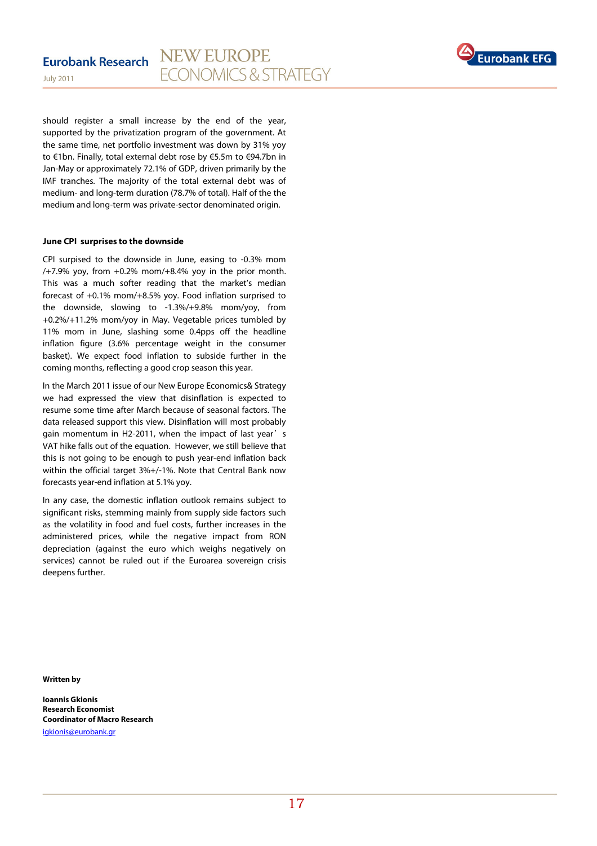

should register a small increase by the end of the year, supported by the privatization program of the government. At the same time, net portfolio investment was down by 31% yoy to €1bn. Finally, total external debt rose by €5.5m to €94.7bn in Jan-May or approximately 72.1% of GDP, driven primarily by the IMF tranches. The majority of the total external debt was of medium- and long-term duration (78.7% of total). Half of the the medium and long-term was private-sector denominated origin.

#### **June CPI surprises to the downside**

CPI surpised to the downside in June, easing to -0.3% mom  $/+7.9\%$  yoy, from  $+0.2\%$  mom $/+8.4\%$  yoy in the prior month. This was a much softer reading that the market's median forecast of +0.1% mom/+8.5% yoy. Food inflation surprised to the downside, slowing to -1.3%/+9.8% mom/yoy, from +0.2%/+11.2% mom/yoy in May. Vegetable prices tumbled by 11% mom in June, slashing some 0.4pps off the headline inflation figure (3.6% percentage weight in the consumer basket). We expect food inflation to subside further in the coming months, reflecting a good crop season this year.

In the March 2011 issue of our New Europe Economics& Strategy we had expressed the view that disinflation is expected to resume some time after March because of seasonal factors. The data released support this view. Disinflation will most probably gain momentum in H2-2011, when the impact of last year's VAT hike falls out of the equation. However, we still believe that this is not going to be enough to push year-end inflation back within the official target 3%+/-1%. Note that Central Bank now forecasts year-end inflation at 5.1% yoy.

In any case, the domestic inflation outlook remains subject to significant risks, stemming mainly from supply side factors such as the volatility in food and fuel costs, further increases in the administered prices, while the negative impact from RON depreciation (against the euro which weighs negatively on services) cannot be ruled out if the Euroarea sovereign crisis deepens further.

**Written by** 

**Ioannis Gkionis Research Economist Coordinator of Macro Research**  igkionis@eurobank.gr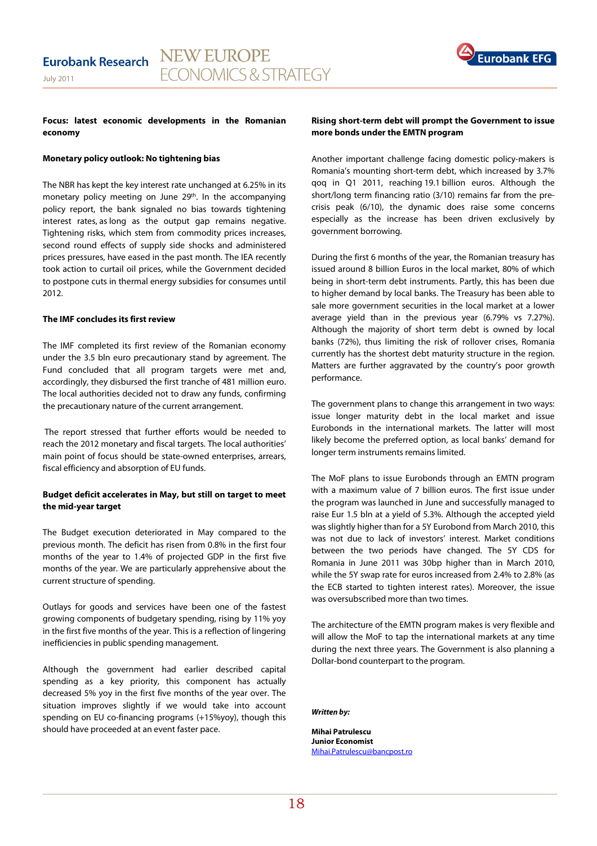

#### **Focus: latest economic developments in the Romanian economy**

#### **Monetary policy outlook: No tightening bias**

The NBR has kept the key interest rate unchanged at 6.25% in its monetary policy meeting on June 29<sup>th</sup>. In the accompanying policy report, the bank signaled no bias towards tightening interest rates, as long as the output gap remains negative. Tightening risks, which stem from commodity prices increases, second round effects of supply side shocks and administered prices pressures, have eased in the past month. The IEA recently took action to curtail oil prices, while the Government decided to postpone cuts in thermal energy subsidies for consumes until 2012.

#### **The IMF concludes its first review**

The IMF completed its first review of the Romanian economy under the 3.5 bln euro precautionary stand by agreement. The Fund concluded that all program targets were met and, accordingly, they disbursed the first tranche of 481 million euro. The local authorities decided not to draw any funds, confirming the precautionary nature of the current arrangement.

 The report stressed that further efforts would be needed to reach the 2012 monetary and fiscal targets. The local authorities' main point of focus should be state-owned enterprises, arrears, fiscal efficiency and absorption of EU funds.

#### **Budget deficit accelerates in May, but still on target to meet the mid-year target**

The Budget execution deteriorated in May compared to the previous month. The deficit has risen from 0.8% in the first four months of the year to 1.4% of projected GDP in the first five months of the year. We are particularly apprehensive about the current structure of spending.

Outlays for goods and services have been one of the fastest growing components of budgetary spending, rising by 11% yoy in the first five months of the year. This is a reflection of lingering inefficiencies in public spending management.

Although the government had earlier described capital spending as a key priority, this component has actually decreased 5% yoy in the first five months of the year over. The situation improves slightly if we would take into account spending on EU co-financing programs (+15%yoy), though this should have proceeded at an event faster pace.

#### **Rising short-term debt will prompt the Government to issue more bonds under the EMTN program**

Another important challenge facing domestic policy-makers is Romania's mounting short-term debt, which increased by 3.7% qoq in Q1 2011, reaching 19.1 billion euros. Although the short/long term financing ratio (3/10) remains far from the precrisis peak (6/10), the dynamic does raise some concerns especially as the increase has been driven exclusively by government borrowing.

During the first 6 months of the year, the Romanian treasury has issued around 8 billion Euros in the local market, 80% of which being in short-term debt instruments. Partly, this has been due to higher demand by local banks. The Treasury has been able to sale more government securities in the local market at a lower average yield than in the previous year (6.79% vs 7.27%). Although the majority of short term debt is owned by local banks (72%), thus limiting the risk of rollover crises, Romania currently has the shortest debt maturity structure in the region. Matters are further aggravated by the country's poor growth performance.

The government plans to change this arrangement in two ways: issue longer maturity debt in the local market and issue Eurobonds in the international markets. The latter will most likely become the preferred option, as local banks' demand for longer term instruments remains limited.

The MoF plans to issue Eurobonds through an EMTN program with a maximum value of 7 billion euros. The first issue under the program was launched in June and successfully managed to raise Eur 1.5 bln at a yield of 5.3%. Although the accepted yield was slightly higher than for a 5Y Eurobond from March 2010, this was not due to lack of investors' interest. Market conditions between the two periods have changed. The 5Y CDS for Romania in June 2011 was 30bp higher than in March 2010, while the 5Y swap rate for euros increased from 2.4% to 2.8% (as the ECB started to tighten interest rates). Moreover, the issue was oversubscribed more than two times.

The architecture of the EMTN program makes is very flexible and will allow the MoF to tap the international markets at any time during the next three years. The Government is also planning a Dollar-bond counterpart to the program.

**Written by:** 

**Mihai Patrulescu Junior Economist**  Mihai.Patrulescu@bancpost.ro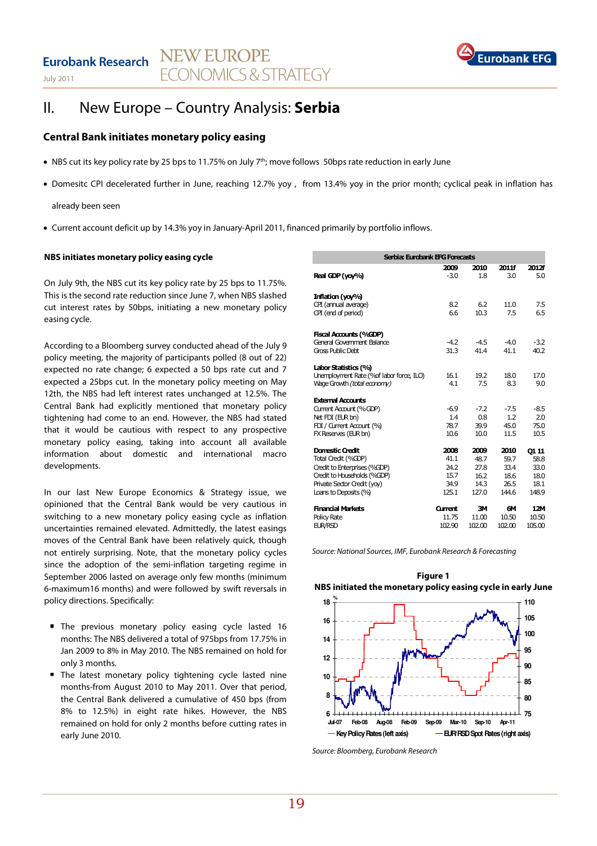

## II. New Europe – Country Analysis: **Serbia**

## **Central Bank initiates monetary policy easing**

- NBS cut its key policy rate by 25 bps to 11.75% on July 7<sup>th</sup>; move follows 50bps rate reduction in early June
- Domesitc CPI decelerated further in June, reaching 12.7% yoy , from 13.4% yoy in the prior month; cyclical peak in inflation has

already been seen

• Current account deficit up by 14.3% yoy in January-April 2011, financed primarily by portfolio inflows.

#### **NBS initiates monetary policy easing cycle**

On July 9th, the NBS cut its key policy rate by 25 bps to 11.75%. This is the second rate reduction since June 7, when NBS slashed cut interest rates by 50bps, initiating a new monetary policy easing cycle.

According to a Bloomberg survey conducted ahead of the July 9 policy meeting, the majority of participants polled (8 out of 22) expected no rate change; 6 expected a 50 bps rate cut and 7 expected a 25bps cut. In the monetary policy meeting on May 12th, the NBS had left interest rates unchanged at 12.5%. The Central Bank had explicitly mentioned that monetary policy tightening had come to an end. However, the NBS had stated that it would be cautious with respect to any prospective monetary policy easing, taking into account all available information about domestic and international macro developments.

In our last New Europe Economics & Strategy issue, we opinioned that the Central Bank would be very cautious in switching to a new monetary policy easing cycle as inflation uncertainties remained elevated. Admittedly, the latest easings moves of the Central Bank have been relatively quick, though not entirely surprising. Note, that the monetary policy cycles since the adoption of the semi-inflation targeting regime in September 2006 lasted on average only few months (minimum 6-maximum16 months) and were followed by swift reversals in policy directions. Specifically:

- The previous monetary policy easing cycle lasted 16 months: The NBS delivered a total of 975bps from 17.75% in Jan 2009 to 8% in May 2010. The NBS remained on hold for only 3 months.
- **The latest monetary policy tightening cycle lasted nine** months-from August 2010 to May 2011. Over that period, the Central Bank delivered a cumulative of 450 bps (from 8% to 12.5%) in eight rate hikes. However, the NBS remained on hold for only 2 months before cutting rates in early June 2010.

| Serbia: Eurobank EFG Forecasts           |         |        |        |        |  |  |
|------------------------------------------|---------|--------|--------|--------|--|--|
|                                          | 2009    | 2010   | 2011f  | 2012f  |  |  |
| Real GDP (yoy%)                          | $-3.0$  | 1.8    | 3.0    | 5.0    |  |  |
| Inflation (yoy%)                         |         |        |        |        |  |  |
| CPI (annual average)                     | 8.2     | 6.2    | 11.0   | 7.5    |  |  |
| CPI (end of period)                      | 6.6     | 10.3   | 7.5    | 6.5    |  |  |
| Fiscal Accounts (%GDP)                   |         |        |        |        |  |  |
| General Government Balance               | $-4.2$  | $-4.5$ | $-4.0$ | $-3.2$ |  |  |
| Gross Public Debt                        | 31.3    | 41.4   | 41.1   | 40.2   |  |  |
| Labor Statistics (%)                     |         |        |        |        |  |  |
| Unemployment Rate (%of labor force, ILO) | 16.1    | 19.2   | 18.0   | 17.0   |  |  |
| Wage Growth (total economy)              | 4.1     | 7.5    | 8.3    | 9.0    |  |  |
| <b>External Accounts</b>                 |         |        |        |        |  |  |
| Current Account (%GDP)                   | $-6.9$  | $-7.2$ | $-7.5$ | $-8.5$ |  |  |
| Net FDI (EUR bn)                         | 1.4     | 0.8    | 1.2    | 2.0    |  |  |
| FDI / Current Account (%)                | 78.7    | 39.9   | 45.0   | 75.0   |  |  |
| FX Reserves (EUR bn)                     | 10.6    | 10.0   | 11.5   | 10.5   |  |  |
| <b>Domestic Credit</b>                   | 2008    | 2009   | 2010   | 01 11  |  |  |
| Total Credit (%GDP)                      | 41.1    | 48.7   | 59.7   | 58.8   |  |  |
| Credit to Enterprises (%GDP)             | 24.2    | 27.8   | 33.4   | 33.0   |  |  |
| Credit to Households (%GDP)              | 15.7    | 16.2   | 18.6   | 18.0   |  |  |
| Private Sector Credit (yoy)              | 34.9    | 14.3   | 26.5   | 18.1   |  |  |
| Loans to Deposits (%)                    | 125.1   | 127.0  | 144.6  | 148.9  |  |  |
| Financial Markets                        | Current | ЗΜ     | 6М     | 12M    |  |  |
| <b>Policy Rate</b>                       | 11.75   | 11.00  | 10.50  | 10.50  |  |  |
| <b>EUR/RSD</b>                           | 102.90  | 102.00 | 102.00 | 105.00 |  |  |

Source: National Sources, IMF, Eurobank Research & Forecasting



Source: Bloomberg, Eurobank Research

**Figure 1 NBS initiated the monetary policy easing cycle in early June**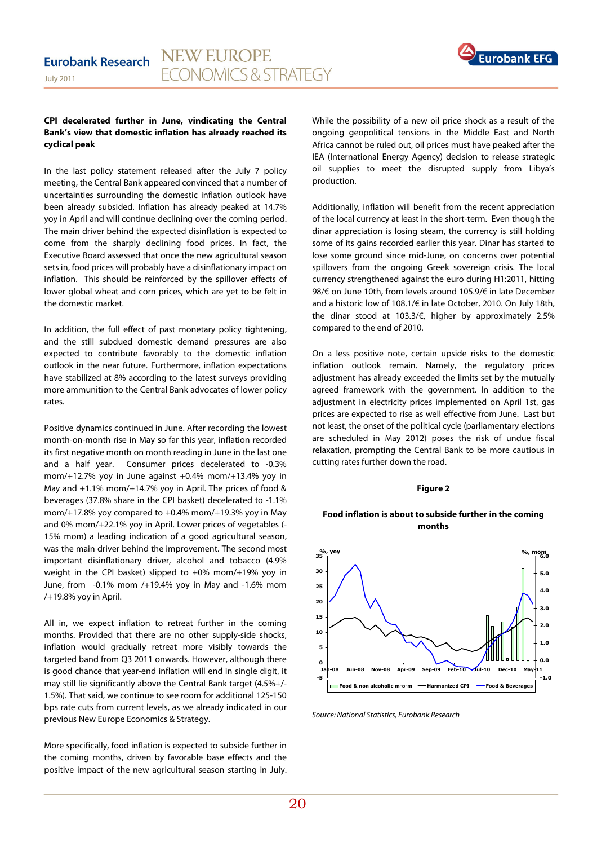

#### **CPI decelerated further in June, vindicating the Central Bank's view that domestic inflation has already reached its cyclical peak**

In the last policy statement released after the July 7 policy meeting, the Central Bank appeared convinced that a number of uncertainties surrounding the domestic inflation outlook have been already subsided. Inflation has already peaked at 14.7% yoy in April and will continue declining over the coming period. The main driver behind the expected disinflation is expected to come from the sharply declining food prices. In fact, the Executive Board assessed that once the new agricultural season sets in, food prices will probably have a disinflationary impact on inflation. This should be reinforced by the spillover effects of lower global wheat and corn prices, which are yet to be felt in the domestic market.

In addition, the full effect of past monetary policy tightening, and the still subdued domestic demand pressures are also expected to contribute favorably to the domestic inflation outlook in the near future. Furthermore, inflation expectations have stabilized at 8% according to the latest surveys providing more ammunition to the Central Bank advocates of lower policy rates.

Positive dynamics continued in June. After recording the lowest month-on-month rise in May so far this year, inflation recorded its first negative month on month reading in June in the last one and a half year. Consumer prices decelerated to -0.3% mom/+12.7% yoy in June against +0.4% mom/+13.4% yoy in May and +1.1% mom/+14.7% yoy in April. The prices of food & beverages (37.8% share in the CPI basket) decelerated to -1.1% mom/+17.8% yoy compared to +0.4% mom/+19.3% yoy in May and 0% mom/+22.1% yoy in April. Lower prices of vegetables (- 15% mom) a leading indication of a good agricultural season, was the main driver behind the improvement. The second most important disinflationary driver, alcohol and tobacco (4.9% weight in the CPI basket) slipped to +0% mom/+19% yoy in June, from -0.1% mom /+19.4% yoy in May and -1.6% mom /+19.8% yoy in April.

All in, we expect inflation to retreat further in the coming months. Provided that there are no other supply-side shocks, inflation would gradually retreat more visibly towards the targeted band from Q3 2011 onwards. However, although there is good chance that year-end inflation will end in single digit, it may still lie significantly above the Central Bank target (4.5%+/- 1.5%). That said, we continue to see room for additional 125-150 bps rate cuts from current levels, as we already indicated in our previous New Europe Economics & Strategy.

More specifically, food inflation is expected to subside further in the coming months, driven by favorable base effects and the positive impact of the new agricultural season starting in July. While the possibility of a new oil price shock as a result of the ongoing geopolitical tensions in the Middle East and North Africa cannot be ruled out, oil prices must have peaked after the IEA (International Energy Agency) decision to release strategic oil supplies to meet the disrupted supply from Libya's production.

Additionally, inflation will benefit from the recent appreciation of the local currency at least in the short-term. Even though the dinar appreciation is losing steam, the currency is still holding some of its gains recorded earlier this year. Dinar has started to lose some ground since mid-June, on concerns over potential spillovers from the ongoing Greek sovereign crisis. The local currency strengthened against the euro during H1:2011, hitting 98/€ on June 10th, from levels around 105.9/€ in late December and a historic low of 108.1/€ in late October, 2010. On July 18th, the dinar stood at 103.3/€, higher by approximately 2.5% compared to the end of 2010.

On a less positive note, certain upside risks to the domestic inflation outlook remain. Namely, the regulatory prices adjustment has already exceeded the limits set by the mutually agreed framework with the government. In addition to the adjustment in electricity prices implemented on April 1st, gas prices are expected to rise as well effective from June. Last but not least, the onset of the political cycle (parliamentary elections are scheduled in May 2012) poses the risk of undue fiscal relaxation, prompting the Central Bank to be more cautious in cutting rates further down the road.

#### **Figure 2**

#### **Food inflation is about to subside further in the coming months**



Source: National Statistics, Eurobank Research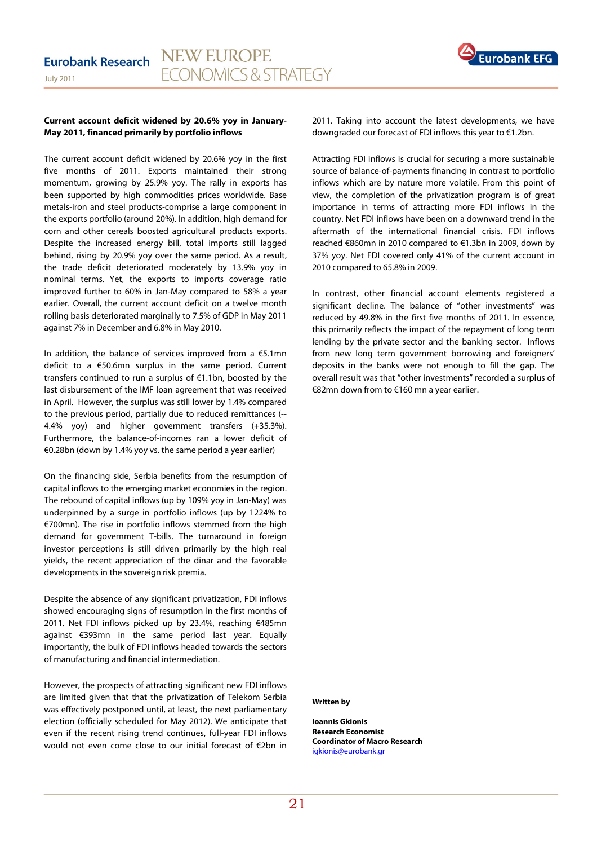

#### **Current account deficit widened by 20.6% yoy in January-May 2011, financed primarily by portfolio inflows**

The current account deficit widened by 20.6% yoy in the first five months of 2011. Exports maintained their strong momentum, growing by 25.9% yoy. The rally in exports has been supported by high commodities prices worldwide. Base metals-iron and steel products-comprise a large component in the exports portfolio (around 20%). In addition, high demand for corn and other cereals boosted agricultural products exports. Despite the increased energy bill, total imports still lagged behind, rising by 20.9% yoy over the same period. As a result, the trade deficit deteriorated moderately by 13.9% yoy in nominal terms. Yet, the exports to imports coverage ratio improved further to 60% in Jan-May compared to 58% a year earlier. Overall, the current account deficit on a twelve month rolling basis deteriorated marginally to 7.5% of GDP in May 2011 against 7% in December and 6.8% in May 2010.

In addition, the balance of services improved from a  $\epsilon$ 5.1mn deficit to a €50.6mn surplus in the same period. Current transfers continued to run a surplus of €1.1bn, boosted by the last disbursement of the IMF loan agreement that was received in April. However, the surplus was still lower by 1.4% compared to the previous period, partially due to reduced remittances (-- 4.4% yoy) and higher government transfers (+35.3%). Furthermore, the balance-of-incomes ran a lower deficit of €0.28bn (down by 1.4% yoy vs. the same period a year earlier)

On the financing side, Serbia benefits from the resumption of capital inflows to the emerging market economies in the region. The rebound of capital inflows (up by 109% yoy in Jan-May) was underpinned by a surge in portfolio inflows (up by 1224% to €700mn). The rise in portfolio inflows stemmed from the high demand for government T-bills. The turnaround in foreign investor perceptions is still driven primarily by the high real yields, the recent appreciation of the dinar and the favorable developments in the sovereign risk premia.

Despite the absence of any significant privatization, FDI inflows showed encouraging signs of resumption in the first months of 2011. Net FDI inflows picked up by 23.4%, reaching €485mn against €393mn in the same period last year. Equally importantly, the bulk of FDI inflows headed towards the sectors of manufacturing and financial intermediation.

However, the prospects of attracting significant new FDI inflows are limited given that that the privatization of Telekom Serbia was effectively postponed until, at least, the next parliamentary election (officially scheduled for May 2012). We anticipate that even if the recent rising trend continues, full-year FDI inflows would not even come close to our initial forecast of €2bn in 2011. Taking into account the latest developments, we have downgraded our forecast of FDI inflows this year to €1.2bn.

Attracting FDI inflows is crucial for securing a more sustainable source of balance-of-payments financing in contrast to portfolio inflows which are by nature more volatile. From this point of view, the completion of the privatization program is of great importance in terms of attracting more FDI inflows in the country. Net FDI inflows have been on a downward trend in the aftermath of the international financial crisis. FDI inflows reached €860mn in 2010 compared to €1.3bn in 2009, down by 37% yoy. Net FDI covered only 41% of the current account in 2010 compared to 65.8% in 2009.

In contrast, other financial account elements registered a significant decline. The balance of "other investments" was reduced by 49.8% in the first five months of 2011. In essence, this primarily reflects the impact of the repayment of long term lending by the private sector and the banking sector. Inflows from new long term government borrowing and foreigners' deposits in the banks were not enough to fill the gap. The overall result was that "other investments" recorded a surplus of €82mn down from to €160 mn a year earlier.

### **Written by**

**Ioannis Gkionis Research Economist Coordinator of Macro Research**  igkionis@eurobank.gr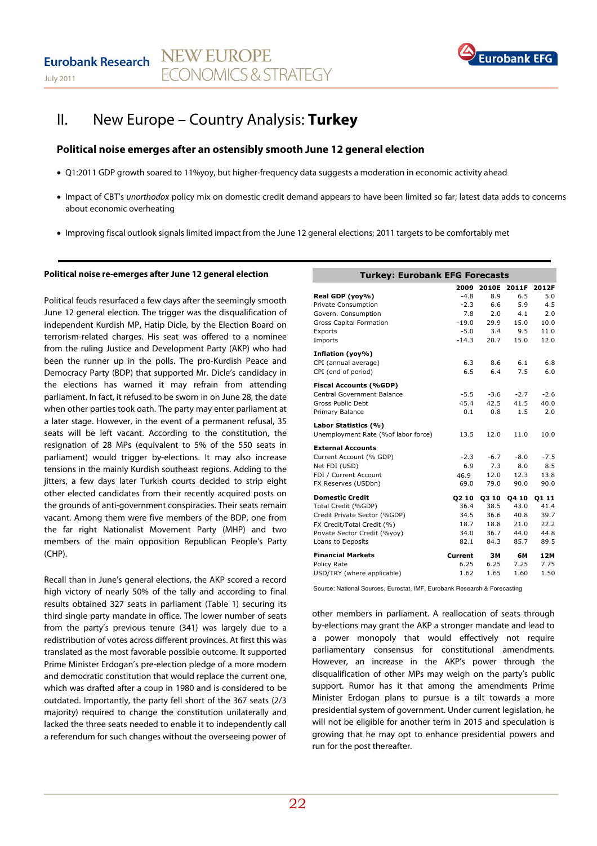

## II. New Europe – Country Analysis: **Turkey**

## **Political noise emerges after an ostensibly smooth June 12 general election**

- Q1:2011 GDP growth soared to 11%yoy, but higher-frequency data suggests a moderation in economic activity ahead
- Impact of CBT's unorthodox policy mix on domestic credit demand appears to have been limited so far; latest data adds to concerns about economic overheating
- Improving fiscal outlook signals limited impact from the June 12 general elections; 2011 targets to be comfortably met

#### **Political noise re-emerges after June 12 general election**

Political feuds resurfaced a few days after the seemingly smooth June 12 general election. The trigger was the disqualification of independent Kurdish MP, Hatip Dicle, by the Election Board on terrorism-related charges. His seat was offered to a nominee from the ruling Justice and Development Party (AKP) who had been the runner up in the polls. The pro-Kurdish Peace and Democracy Party (BDP) that supported Mr. Dicle's candidacy in the elections has warned it may refrain from attending parliament. In fact, it refused to be sworn in on June 28, the date when other parties took oath. The party may enter parliament at a later stage. However, in the event of a permanent refusal, 35 seats will be left vacant. According to the constitution, the resignation of 28 MPs (equivalent to 5% of the 550 seats in parliament) would trigger by-elections. It may also increase tensions in the mainly Kurdish southeast regions. Adding to the jitters, a few days later Turkish courts decided to strip eight other elected candidates from their recently acquired posts on the grounds of anti-government conspiracies. Their seats remain vacant. Among them were five members of the BDP, one from the far right Nationalist Movement Party (MHP) and two members of the main opposition Republican People's Party (CHP).

Recall than in June's general elections, the AKP scored a record high victory of nearly 50% of the tally and according to final results obtained 327 seats in parliament (Table 1) securing its third single party mandate in office. The lower number of seats from the party's previous tenure (341) was largely due to a redistribution of votes across different provinces. At first this was translated as the most favorable possible outcome. It supported Prime Minister Erdogan's pre-election pledge of a more modern and democratic constitution that would replace the current one, which was drafted after a coup in 1980 and is considered to be outdated. Importantly, the party fell short of the 367 seats (2/3 majority) required to change the constitution unilaterally and lacked the three seats needed to enable it to independently call a referendum for such changes without the overseeing power of

| <b>Turkey: Eurobank EFG Forecasts</b> |             |              |              |        |
|---------------------------------------|-------------|--------------|--------------|--------|
|                                       | 2009        | 2010E        | 2011F        | 2012F  |
| Real GDP (yoy%)                       | $-4.8$      | 8.9          | 6.5          | 5.0    |
| <b>Private Consumption</b>            | $-2.3$      | 6.6          | 5.9          | 4.5    |
| Govern. Consumption                   | 7.8         | 2.0          | 4.1          | 2.0    |
| <b>Gross Capital Formation</b>        | $-19.0$     | 29.9         | 15.0         | 10.0   |
| Exports                               | $-5.0$      | 3.4          | 9.5          | 11.0   |
| Imports                               | $-14.3$     | 20.7         | 15.0         | 12.0   |
| Inflation (yoy%)                      |             |              |              |        |
| CPI (annual average)                  | 6.3         | 8.6          | 6.1          | 6.8    |
| CPI (end of period)                   | 6.5         | 6.4          | 7.5          | 6.0    |
| <b>Fiscal Accounts (%GDP)</b>         |             |              |              |        |
| Central Government Balance            | $-5.5$      | -3.6         | $-2.7$       | $-2.6$ |
| Gross Public Debt                     | 45.4        | 42.5         | 41.5         | 40.0   |
| Primary Balance                       | 0.1         | 0.8          | 1.5          | 2.0    |
| Labor Statistics (%)                  |             |              |              |        |
| Unemployment Rate (%of labor force)   | 13.5        | 12.0         | 11.0         | 10.0   |
| <b>External Accounts</b>              |             |              |              |        |
| Current Account (% GDP)               | $-2.3$      | $-6.7$       | $-8.0$       | $-7.5$ |
| Net FDI (USD)                         | 6.9         | 7.3          | 8.0          | 8.5    |
| FDI / Current Account                 | 46.9        | 12.0         | 12.3         | 13.8   |
| FX Reserves (USDbn)                   | 69.0        | 79.0         | 90.0         | 90.0   |
| <b>Domestic Credit</b>                | <b>Q210</b> | <b>03 10</b> | <b>Q4 10</b> | 01 11  |
| Total Credit (%GDP)                   | 36.4        | 38.5         | 43.0         | 41.4   |
| Credit Private Sector (%GDP)          | 34.5        | 36.6         | 40.8         | 39.7   |
| FX Credit/Total Credit (%)            | 18.7        | 18.8         | 21.0         | 22.2   |
| Private Sector Credit (%yoy)          | 34.0        | 36.7         | 44.0         | 44.8   |
| Loans to Deposits                     | 82.1        | 84.3         | 85.7         | 89.5   |
| <b>Financial Markets</b>              | Current     | ЗΜ           | 6М           | 12M    |
| Policy Rate                           | 6.25        | 6.25         | 7.25         | 7.75   |
| USD/TRY (where applicable)            | 1.62        | 1.65         | 1.60         | 1.50   |

Source: National Sources, Eurostat, IMF, Eurobank Research & Forecasting

other members in parliament. A reallocation of seats through by-elections may grant the AKP a stronger mandate and lead to a power monopoly that would effectively not require parliamentary consensus for constitutional amendments. However, an increase in the AKP's power through the disqualification of other MPs may weigh on the party's public support. Rumor has it that among the amendments Prime Minister Erdogan plans to pursue is a tilt towards a more presidential system of government. Under current legislation, he will not be eligible for another term in 2015 and speculation is growing that he may opt to enhance presidential powers and run for the post thereafter.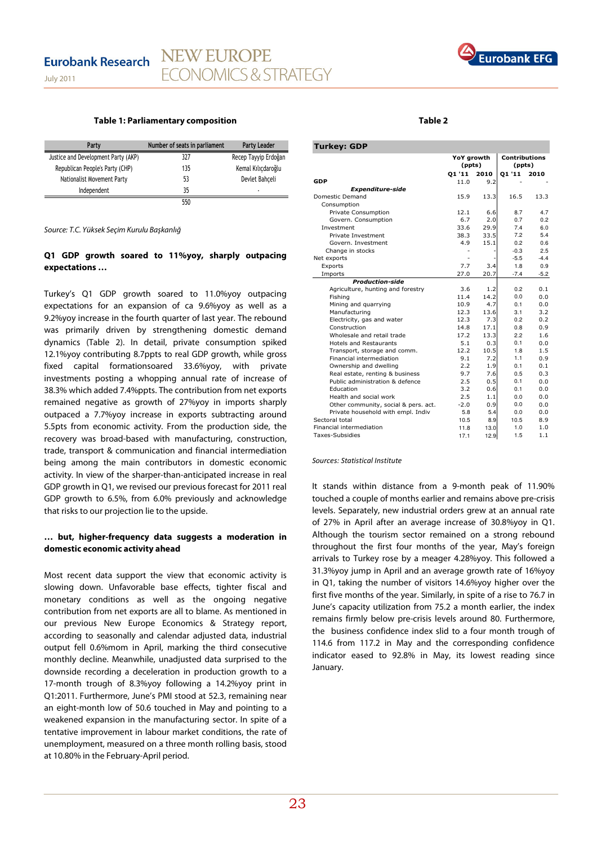

#### **Table 1: Parliamentary composition**

| Party                               | Number of seats in parliament | <b>Party Leader</b>  |
|-------------------------------------|-------------------------------|----------------------|
| Justice and Development Party (AKP) | 327                           | Recep Tayyip Erdoğan |
| Republican People's Party (CHP)     | 135                           | Kemal Kılıcdaroğlu   |
| Nationalist Movement Party          | 53                            | Devlet Bahceli       |
| Independent                         | 35                            | ۰                    |
|                                     | 550                           |                      |

Source: T.C. Yüksek Seçim Kurulu Başkanlığ

### **Q1 GDP growth soared to 11%yoy, sharply outpacing expectations …**

Turkey's Q1 GDP growth soared to 11.0%yoy outpacing expectations for an expansion of ca 9.6%yoy as well as a 9.2%yoy increase in the fourth quarter of last year. The rebound was primarily driven by strengthening domestic demand dynamics (Table 2). In detail, private consumption spiked 12.1%yoy contributing 8.7ppts to real GDP growth, while gross fixed capital formationsoared 33.6%yoy, with private investments posting a whopping annual rate of increase of 38.3% which added 7.4%ppts. The contribution from net exports remained negative as growth of 27%yoy in imports sharply outpaced a 7.7%yoy increase in exports subtracting around 5.5pts from economic activity. From the production side, the recovery was broad-based with manufacturing, construction, trade, transport & communication and financial intermediation being among the main contributors in domestic economic activity. In view of the sharper-than-anticipated increase in real GDP growth in Q1, we revised our previous forecast for 2011 real GDP growth to 6.5%, from 6.0% previously and acknowledge that risks to our projection lie to the upside.

#### **… but, higher-frequency data suggests a moderation in domestic economic activity ahead**

Most recent data support the view that economic activity is slowing down. Unfavorable base effects, tighter fiscal and monetary conditions as well as the ongoing negative contribution from net exports are all to blame. As mentioned in our previous New Europe Economics & Strategy report, according to seasonally and calendar adjusted data, industrial output fell 0.6%mom in April, marking the third consecutive monthly decline. Meanwhile, unadjusted data surprised to the downside recording a deceleration in production growth to a 17-month trough of 8.3%yoy following a 14.2%yoy print in Q1:2011. Furthermore, June's PMI stood at 52.3, remaining near an eight-month low of 50.6 touched in May and pointing to a weakened expansion in the manufacturing sector. In spite of a tentative improvement in labour market conditions, the rate of unemployment, measured on a three month rolling basis, stood at 10.80% in the February-April period.

#### **Table 2**

| Turkey: GDP                          |                      |      |                                |        |
|--------------------------------------|----------------------|------|--------------------------------|--------|
|                                      | YoY growth<br>(ppts) |      | <b>Contributions</b><br>(ppts) |        |
|                                      | 01'11                | 2010 | 01'11                          | 2010   |
| <b>GDP</b>                           | 11.0                 | 9.2  |                                |        |
| <b>Expenditure-side</b>              |                      |      |                                |        |
| Domestic Demand                      | 15.9                 | 13.3 | 16.5                           | 13.3   |
| Consumption                          |                      |      |                                |        |
| Private Consumption                  | 12.1                 | 6.6  | 8.7                            | 4.7    |
| Govern. Consumption                  | 6.7                  | 2.0  | 0.7                            | 0.2    |
| Investment                           | 33.6                 | 29.9 | 7.4                            | 6.0    |
| Private Investment                   | 38.3                 | 33.5 | 7.2                            | 5.4    |
| Govern, Investment                   | 4.9                  | 15.1 | 0.2                            | 0.6    |
| Change in stocks                     |                      |      | $-0.3$                         | 2.5    |
| Net exports                          |                      |      | $-5.5$                         | $-4.4$ |
| Exports                              | 7.7                  | 3.4  | 1.8                            | 0.9    |
| Imports                              | 27.0                 | 20.7 | $-7.4$                         | $-5.2$ |
| <b>Production-side</b>               |                      |      |                                |        |
| Agriculture, hunting and forestry    | 3.6                  | 1.2  | 0.2                            | 0.1    |
| Fishing                              | 11.4                 | 14.2 | 0.0                            | 0.0    |
| Mining and quarrying                 | 10.9                 | 4.7  | 0.1                            | 0.0    |
| Manufacturing                        | 12.3                 | 13.6 | 3.1                            | 3.2    |
| Electricity, gas and water           | 12.3                 | 7.3  | 0.2                            | 0.2    |
| Construction                         | 14.8                 | 17.1 | 0.8                            | 0.9    |
| Wholesale and retail trade           | 17.2                 | 13.3 | 2.2                            | 1.6    |
| <b>Hotels and Restaurants</b>        | 5.1                  | 0.3  | 0.1                            | 0.0    |
| Transport, storage and comm.         | 12.2                 | 10.5 | 1.8                            | 1.5    |
| Financial intermediation             | 9.1                  | 7.2  | 1.1                            | 0.9    |
| Ownership and dwelling               | 2.2                  | 1.9  | 0.1                            | 0.1    |
| Real estate, renting & business      | 9.7                  | 7.6  | 0.5                            | 0.3    |
| Public administration & defence      | 2.5                  | 0.5  | 0.1                            | 0.0    |
| Education                            | 3.2                  | 0.6  | 0.1                            | 0.0    |
| Health and social work               | 2.5                  | 1.1  | 0.0                            | 0.0    |
| Other community, social & pers. act. | $-2.0$               | 0.9  | 0.0                            | 0.0    |
| Private household with empl. Indiv   | 5.8                  | 5.4  | 0.0                            | 0.0    |
| Sectoral total                       | 10.5                 | 8.9  | 10.5                           | 8.9    |
| Financial intermediation             | 11.8                 | 13.0 | 1.0                            | 1.0    |
| Taxes-Subsidies                      | 17.1                 | 12.9 | 1.5                            | 1.1    |

Sources: Statistical Institute

Turkey: GDP

It stands within distance from a 9-month peak of 11.90% touched a couple of months earlier and remains above pre-crisis levels. Separately, new industrial orders grew at an annual rate of 27% in April after an average increase of 30.8%yoy in Q1. Although the tourism sector remained on a strong rebound throughout the first four months of the year, May's foreign arrivals to Turkey rose by a meager 4.28%yoy. This followed a 31.3%yoy jump in April and an average growth rate of 16%yoy in Q1, taking the number of visitors 14.6%yoy higher over the first five months of the year. Similarly, in spite of a rise to 76.7 in June's capacity utilization from 75.2 a month earlier, the index remains firmly below pre-crisis levels around 80. Furthermore, the business confidence index slid to a four month trough of 114.6 from 117.2 in May and the corresponding confidence indicator eased to 92.8% in May, its lowest reading since January.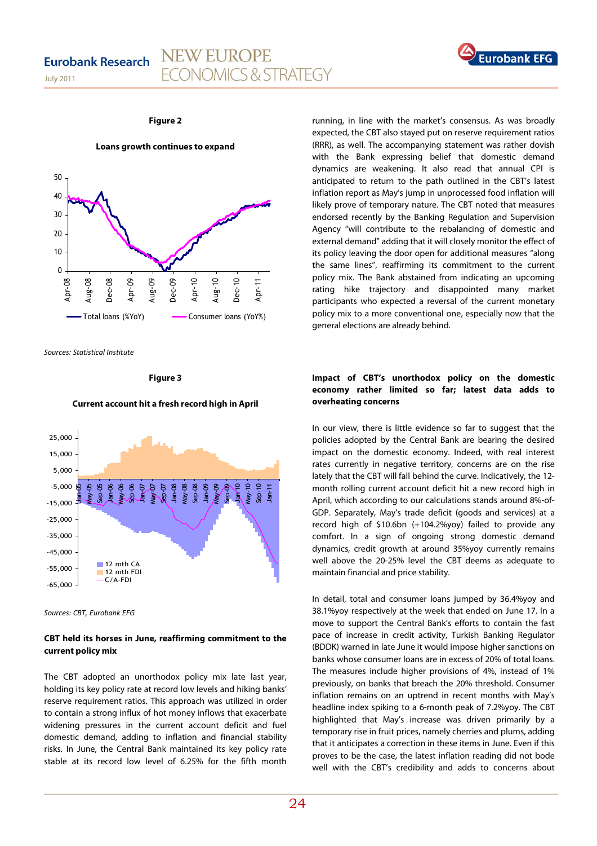July 2011





#### **Figure 2**

**Loans growth continues to expand** 



Sources: Statistical Institute

**Figure 3** 

#### **Current account hit a fresh record high in April**



Sources: CBT, Eurobank EFG

#### **CBT held its horses in June, reaffirming commitment to the current policy mix**

The CBT adopted an unorthodox policy mix late last year, holding its key policy rate at record low levels and hiking banks' reserve requirement ratios. This approach was utilized in order to contain a strong influx of hot money inflows that exacerbate widening pressures in the current account deficit and fuel domestic demand, adding to inflation and financial stability risks. In June, the Central Bank maintained its key policy rate stable at its record low level of 6.25% for the fifth month

running, in line with the market's consensus. As was broadly expected, the CBT also stayed put on reserve requirement ratios (RRR), as well. The accompanying statement was rather dovish with the Bank expressing belief that domestic demand dynamics are weakening. It also read that annual CPI is anticipated to return to the path outlined in the CBT's latest inflation report as May's jump in unprocessed food inflation will likely prove of temporary nature. The CBT noted that measures endorsed recently by the Banking Regulation and Supervision Agency "will contribute to the rebalancing of domestic and external demand" adding that it will closely monitor the effect of its policy leaving the door open for additional measures "along the same lines", reaffirming its commitment to the current policy mix. The Bank abstained from indicating an upcoming rating hike trajectory and disappointed many market participants who expected a reversal of the current monetary policy mix to a more conventional one, especially now that the general elections are already behind.

### **Impact of CBT's unorthodox policy on the domestic economy rather limited so far; latest data adds to overheating concerns**

In our view, there is little evidence so far to suggest that the policies adopted by the Central Bank are bearing the desired impact on the domestic economy. Indeed, with real interest rates currently in negative territory, concerns are on the rise lately that the CBT will fall behind the curve. Indicatively, the 12 month rolling current account deficit hit a new record high in April, which according to our calculations stands around 8%-of-GDP. Separately, May's trade deficit (goods and services) at a record high of \$10.6bn (+104.2%yoy) failed to provide any comfort. In a sign of ongoing strong domestic demand dynamics, credit growth at around 35%yoy currently remains well above the 20-25% level the CBT deems as adequate to maintain financial and price stability.

In detail, total and consumer loans jumped by 36.4%yoy and 38.1%yoy respectively at the week that ended on June 17. In a move to support the Central Bank's efforts to contain the fast pace of increase in credit activity, Turkish Banking Regulator (BDDK) warned in late June it would impose higher sanctions on banks whose consumer loans are in excess of 20% of total loans. The measures include higher provisions of 4%, instead of 1% previously, on banks that breach the 20% threshold. Consumer inflation remains on an uptrend in recent months with May's headline index spiking to a 6-month peak of 7.2%yoy. The CBT highlighted that May's increase was driven primarily by a temporary rise in fruit prices, namely cherries and plums, adding that it anticipates a correction in these items in June. Even if this proves to be the case, the latest inflation reading did not bode well with the CBT's credibility and adds to concerns about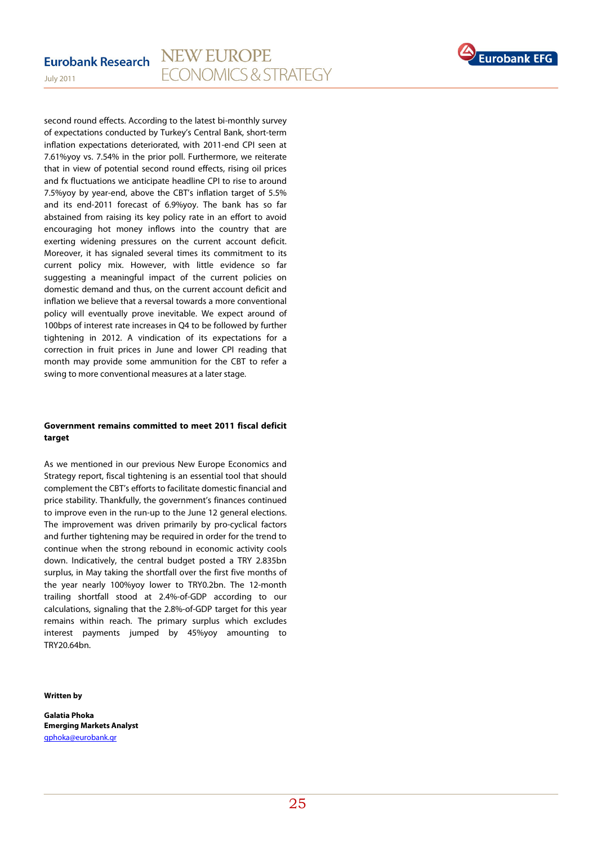

second round effects. According to the latest bi-monthly survey of expectations conducted by Turkey's Central Bank, short-term inflation expectations deteriorated, with 2011-end CPI seen at 7.61%yoy vs. 7.54% in the prior poll. Furthermore, we reiterate that in view of potential second round effects, rising oil prices and fx fluctuations we anticipate headline CPI to rise to around 7.5%yoy by year-end, above the CBT's inflation target of 5.5% and its end-2011 forecast of 6.9%yoy. The bank has so far abstained from raising its key policy rate in an effort to avoid encouraging hot money inflows into the country that are exerting widening pressures on the current account deficit. Moreover, it has signaled several times its commitment to its current policy mix. However, with little evidence so far suggesting a meaningful impact of the current policies on domestic demand and thus, on the current account deficit and inflation we believe that a reversal towards a more conventional policy will eventually prove inevitable. We expect around of 100bps of interest rate increases in Q4 to be followed by further tightening in 2012. A vindication of its expectations for a correction in fruit prices in June and lower CPI reading that month may provide some ammunition for the CBT to refer a swing to more conventional measures at a later stage.

### **Government remains committed to meet 2011 fiscal deficit target**

As we mentioned in our previous New Europe Economics and Strategy report, fiscal tightening is an essential tool that should complement the CBT's efforts to facilitate domestic financial and price stability. Thankfully, the government's finances continued to improve even in the run-up to the June 12 general elections. The improvement was driven primarily by pro-cyclical factors and further tightening may be required in order for the trend to continue when the strong rebound in economic activity cools down. Indicatively, the central budget posted a TRY 2.835bn surplus, in May taking the shortfall over the first five months of the year nearly 100%yoy lower to TRY0.2bn. The 12-month trailing shortfall stood at 2.4%-of-GDP according to our calculations, signaling that the 2.8%-of-GDP target for this year remains within reach. The primary surplus which excludes interest payments jumped by 45%yoy amounting to TRY20.64bn.

#### **Written by**

July 2011

**Galatia Phoka Emerging Markets Analyst**  gphoka@eurobank.gr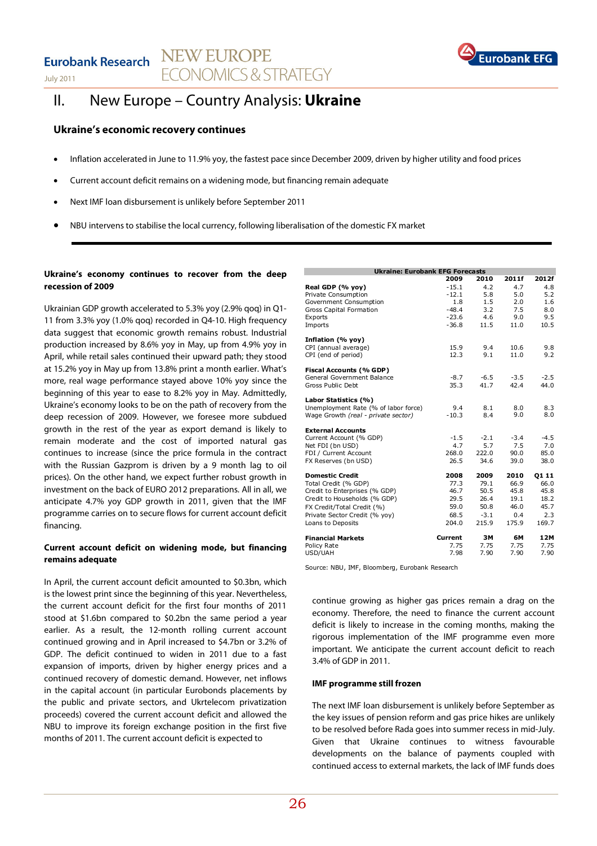## Eurobank Research NEW EUROPE **ECONOMICS & STRATEGY**



# Eurobank

## II. New Europe – Country Analysis: **Ukraine**

## **Ukraine's economic recovery continues**

- Inflation accelerated in June to 11.9% yoy, the fastest pace since December 2009, driven by higher utility and food prices
- Current account deficit remains on a widening mode, but financing remain adequate
- Next IMF loan disbursement is unlikely before September 2011
- NBU intervens to stabilise the local currency, following liberalisation of the domestic FX market

### **Ukraine's economy continues to recover from the deep recession of 2009**

Ukrainian GDP growth accelerated to 5.3% yoy (2.9% qoq) in Q1- 11 from 3.3% yoy (1.0% qoq) recorded in Q4-10. High frequency data suggest that economic growth remains robust. Industrial production increased by 8.6% yoy in May, up from 4.9% yoy in April, while retail sales continued their upward path; they stood at 15.2% yoy in May up from 13.8% print a month earlier. What's more, real wage performance stayed above 10% yoy since the beginning of this year to ease to 8.2% yoy in May. Admittedly, Ukraine's economy looks to be on the path of recovery from the deep recession of 2009. However, we foresee more subdued growth in the rest of the year as export demand is likely to remain moderate and the cost of imported natural gas continues to increase (since the price formula in the contract with the Russian Gazprom is driven by a 9 month lag to oil prices). On the other hand, we expect further robust growth in investment on the back of EURO 2012 preparations. All in all, we anticipate 4.7% yoy GDP growth in 2011, given that the IMF programme carries on to secure flows for current account deficit financing.

## **Current account deficit on widening mode, but financing remains adequate**

In April, the current account deficit amounted to \$0.3bn, which is the lowest print since the beginning of this year. Nevertheless, the current account deficit for the first four months of 2011 stood at \$1.6bn compared to \$0.2bn the same period a year earlier. As a result, the 12-month rolling current account continued growing and in April increased to \$4.7bn or 3.2% of GDP. The deficit continued to widen in 2011 due to a fast expansion of imports, driven by higher energy prices and a continued recovery of domestic demand. However, net inflows in the capital account (in particular Eurobonds placements by the public and private sectors, and Ukrtelecom privatization proceeds) covered the current account deficit and allowed the NBU to improve its foreign exchange position in the first five months of 2011. The current account deficit is expected to

| <b>Ukraine: Eurobank EFG Forecasts</b> |         |        |        |        |  |  |  |
|----------------------------------------|---------|--------|--------|--------|--|--|--|
|                                        | 2009    | 2010   | 2011f  | 2012f  |  |  |  |
| Real GDP (% vov)                       | $-15.1$ | 4.2    | 4.7    | 4.8    |  |  |  |
| Private Consumption                    | $-12.1$ | 5.8    | 5.0    | 5.2    |  |  |  |
| Government Consumption                 | 1.8     | 1.5    | 2.0    | 1.6    |  |  |  |
| Gross Capital Formation                | $-48.4$ | 3.2    | 7.5    | 8.0    |  |  |  |
| Exports                                | $-23.6$ | 4.6    | 9.0    | 9.5    |  |  |  |
| Imports                                | $-36.8$ | 11.5   | 11.0   | 10.5   |  |  |  |
| Inflation (% yoy)                      |         |        |        |        |  |  |  |
| CPI (annual average)                   | 15.9    | 9.4    | 10.6   | 9.8    |  |  |  |
| CPI (end of period)                    | 12.3    | 9.1    | 11.0   | 9.2    |  |  |  |
| Fiscal Accounts (% GDP)                |         |        |        |        |  |  |  |
| General Government Balance             | $-8.7$  | $-6.5$ | $-3.5$ | $-2.5$ |  |  |  |
| Gross Public Debt                      | 35.3    | 41.7   | 42.4   | 44.0   |  |  |  |
| Labor Statistics (%)                   |         |        |        |        |  |  |  |
| Unemployment Rate (% of labor force)   | 9.4     | 8.1    | 8.0    | 8.3    |  |  |  |
| Wage Growth (real - private sector)    | $-10.3$ | 8.4    | 9.0    | 8.0    |  |  |  |
| <b>External Accounts</b>               |         |        |        |        |  |  |  |
| Current Account (% GDP)                | $-1.5$  | $-2.1$ | $-3.4$ | $-4.5$ |  |  |  |
| Net FDI (bn USD)                       | 4.7     | 5.7    | 7.5    | 7.0    |  |  |  |
| FDI / Current Account                  | 268.0   | 222.0  | 90.0   | 85.0   |  |  |  |
| FX Reserves (bn USD)                   | 26.5    | 34.6   | 39.0   | 38.0   |  |  |  |
| <b>Domestic Credit</b>                 | 2008    | 2009   | 2010   | 01 11  |  |  |  |
| Total Credit (% GDP)                   | 77.3    | 79.1   | 66.9   | 66.0   |  |  |  |
| Credit to Enterprises (% GDP)          | 46.7    | 50.5   | 45.8   | 45.8   |  |  |  |
| Credit to Households (% GDP)           | 29.5    | 26.4   | 19.1   | 18.2   |  |  |  |
| FX Credit/Total Credit (%)             | 59.0    | 50.8   | 46.0   | 45.7   |  |  |  |
| Private Sector Credit (% yoy)          | 68.5    | $-3.1$ | 0.4    | 2.3    |  |  |  |
| Loans to Deposits                      | 204.0   | 215.9  | 175.9  | 169.7  |  |  |  |
| <b>Financial Markets</b>               | Current | ЗΜ     | 6М     | 12M    |  |  |  |
| Policy Rate                            | 7.75    | 7.75   | 7.75   | 7.75   |  |  |  |
| USD/UAH                                | 7.98    | 7.90   | 7.90   | 7.90   |  |  |  |

Source: NBU, IMF, Bloomberg, Eurobank Research

continue growing as higher gas prices remain a drag on the economy. Therefore, the need to finance the current account deficit is likely to increase in the coming months, making the rigorous implementation of the IMF programme even more important. We anticipate the current account deficit to reach 3.4% of GDP in 2011.

#### **IMF programme still frozen**

The next IMF loan disbursement is unlikely before September as the key issues of pension reform and gas price hikes are unlikely to be resolved before Rada goes into summer recess in mid-July. Given that Ukraine continues to witness favourable developments on the balance of payments coupled with continued access to external markets, the lack of IMF funds does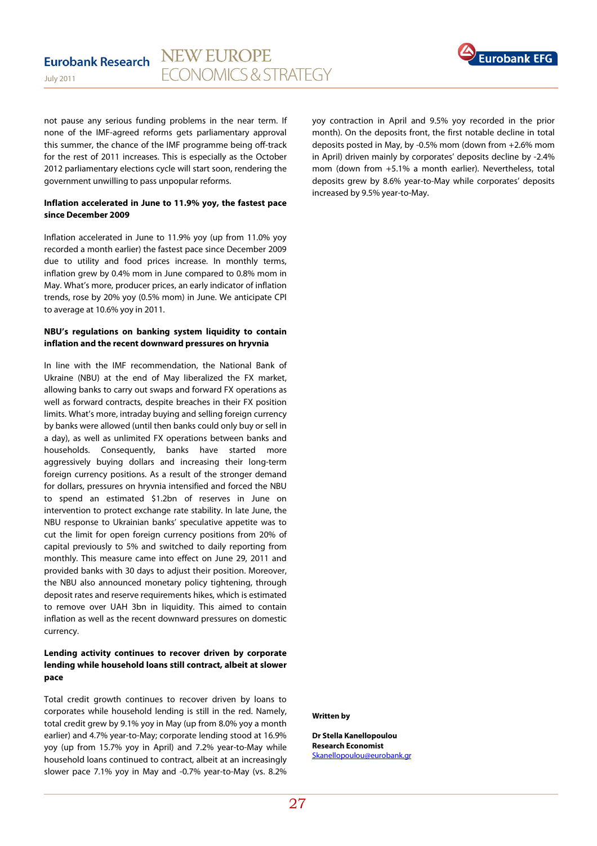

not pause any serious funding problems in the near term. If none of the IMF-agreed reforms gets parliamentary approval this summer, the chance of the IMF programme being off-track for the rest of 2011 increases. This is especially as the October 2012 parliamentary elections cycle will start soon, rendering the government unwilling to pass unpopular reforms.

### **Inflation accelerated in June to 11.9% yoy, the fastest pace since December 2009**

Inflation accelerated in June to 11.9% yoy (up from 11.0% yoy recorded a month earlier) the fastest pace since December 2009 due to utility and food prices increase. In monthly terms, inflation grew by 0.4% mom in June compared to 0.8% mom in May. What's more, producer prices, an early indicator of inflation trends, rose by 20% yoy (0.5% mom) in June. We anticipate CPI to average at 10.6% yoy in 2011.

## **NBU's regulations on banking system liquidity to contain inflation and the recent downward pressures on hryvnia**

In line with the IMF recommendation, the National Bank of Ukraine (NBU) at the end of May liberalized the FX market, allowing banks to carry out swaps and forward FX operations as well as forward contracts, despite breaches in their FX position limits. What's more, intraday buying and selling foreign currency by banks were allowed (until then banks could only buy or sell in a day), as well as unlimited FX operations between banks and households. Consequently, banks have started more aggressively buying dollars and increasing their long-term foreign currency positions. As a result of the stronger demand for dollars, pressures on hryvnia intensified and forced the NBU to spend an estimated \$1.2bn of reserves in June on intervention to protect exchange rate stability. In late June, the NBU response to Ukrainian banks' speculative appetite was to cut the limit for open foreign currency positions from 20% of capital previously to 5% and switched to daily reporting from monthly. This measure came into effect on June 29, 2011 and provided banks with 30 days to adjust their position. Moreover, the NBU also announced monetary policy tightening, through deposit rates and reserve requirements hikes, which is estimated to remove over UAH 3bn in liquidity. This aimed to contain inflation as well as the recent downward pressures on domestic currency.

## **Lending activity continues to recover driven by corporate lending while household loans still contract, albeit at slower pace**

Total credit growth continues to recover driven by loans to corporates while household lending is still in the red. Namely, total credit grew by 9.1% yoy in May (up from 8.0% yoy a month earlier) and 4.7% year-to-May; corporate lending stood at 16.9% yoy (up from 15.7% yoy in April) and 7.2% year-to-May while household loans continued to contract, albeit at an increasingly slower pace 7.1% yoy in May and -0.7% year-to-May (vs. 8.2% yoy contraction in April and 9.5% yoy recorded in the prior month). On the deposits front, the first notable decline in total deposits posted in May, by -0.5% mom (down from +2.6% mom in April) driven mainly by corporates' deposits decline by -2.4% mom (down from +5.1% a month earlier). Nevertheless, total deposits grew by 8.6% year-to-May while corporates' deposits increased by 9.5% year-to-May.

#### **Written by**

**Dr Stella Kanellopoulou Research Economist**  Skanellopoulou@eurobank.gr